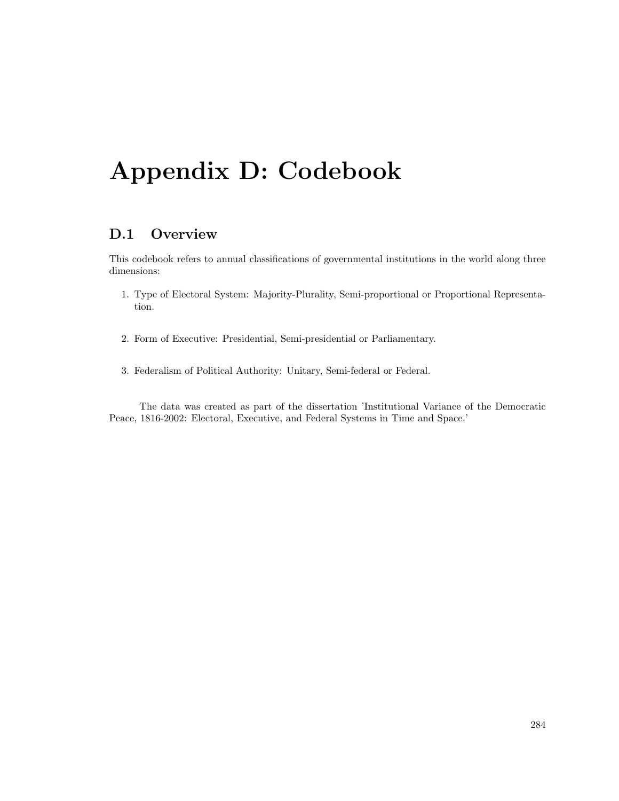# Appendix D: Codebook

# D.1 Overview

This codebook refers to annual classifications of governmental institutions in the world along three dimensions:

- 1. Type of Electoral System: Majority-Plurality, Semi-proportional or Proportional Representation.
- 2. Form of Executive: Presidential, Semi-presidential or Parliamentary.
- 3. Federalism of Political Authority: Unitary, Semi-federal or Federal.

The data was created as part of the dissertation 'Institutional Variance of the Democratic Peace, 1816-2002: Electoral, Executive, and Federal Systems in Time and Space.'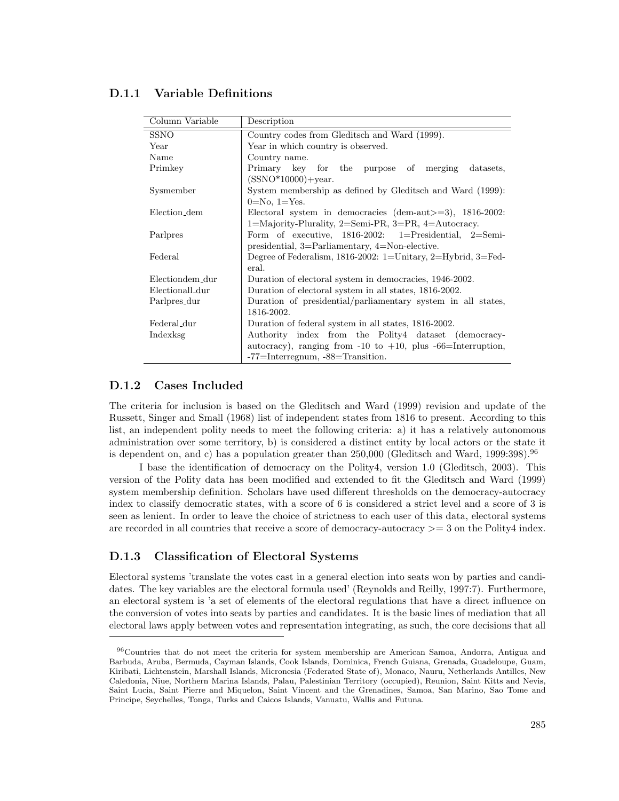### D.1.1 Variable Definitions

| Column Variable         | Description                                                                                                                           |
|-------------------------|---------------------------------------------------------------------------------------------------------------------------------------|
| <b>SSNO</b>             | Country codes from Gleditsch and Ward (1999).                                                                                         |
| Year                    | Year in which country is observed.                                                                                                    |
| Name                    | Country name.                                                                                                                         |
| Primkey                 | Primary key for the purpose of merging<br>datasets.<br>$(SSNO*10000) + year.$                                                         |
| Sysmember               | System membership as defined by Gleditsch and Ward (1999):                                                                            |
| Election <sub>dem</sub> | $0=No, 1=Yes.$<br>Electoral system in democracies (dem-aut $>=$ 3), 1816-2002:<br>1=Majority-Plurality, 2=Semi-PR, 3=PR, 4=Autocracy. |
| Parlpres                | Form of executive, $1816-2002$ : 1=Presidential, 2=Semi-<br>presidential, $3=Parliamentary$ , $4=Non-elective$ .                      |
| Federal                 | Degree of Federalism, 1816-2002: 1=Unitary, 2=Hybrid, 3=Fed-<br>eral.                                                                 |
| Electiondem_dur         | Duration of electoral system in democracies, 1946-2002.                                                                               |
| Electionall_dur         | Duration of electoral system in all states, 1816-2002.                                                                                |
| Parlpres <sub>dur</sub> | Duration of presidential/parliamentary system in all states,                                                                          |
|                         | 1816-2002.                                                                                                                            |
| Federal_dur             | Duration of federal system in all states, 1816-2002.                                                                                  |
| Indexksg                | Authority index from the Polity4 dataset (democracy-                                                                                  |
|                         | autocracy), ranging from $-10$ to $+10$ , plus $-66$ =Interruption,                                                                   |
|                         | -77=Interregnum, -88=Transition.                                                                                                      |

### D.1.2 Cases Included

The criteria for inclusion is based on the Gleditsch and Ward (1999) revision and update of the Russett, Singer and Small (1968) list of independent states from 1816 to present. According to this list, an independent polity needs to meet the following criteria: a) it has a relatively autonomous administration over some territory, b) is considered a distinct entity by local actors or the state it is dependent on, and c) has a population greater than 250,000 (Gleditsch and Ward, 1999:398).<sup>96</sup>

I base the identification of democracy on the Polity4, version 1.0 (Gleditsch, 2003). This version of the Polity data has been modified and extended to fit the Gleditsch and Ward (1999) system membership definition. Scholars have used different thresholds on the democracy-autocracy index to classify democratic states, with a score of 6 is considered a strict level and a score of 3 is seen as lenient. In order to leave the choice of strictness to each user of this data, electoral systems are recorded in all countries that receive a score of democracy-autocracy >= 3 on the Polity4 index.

## D.1.3 Classification of Electoral Systems

Electoral systems 'translate the votes cast in a general election into seats won by parties and candidates. The key variables are the electoral formula used' (Reynolds and Reilly, 1997:7). Furthermore, an electoral system is 'a set of elements of the electoral regulations that have a direct influence on the conversion of votes into seats by parties and candidates. It is the basic lines of mediation that all electoral laws apply between votes and representation integrating, as such, the core decisions that all

<sup>96</sup>Countries that do not meet the criteria for system membership are American Samoa, Andorra, Antigua and Barbuda, Aruba, Bermuda, Cayman Islands, Cook Islands, Dominica, French Guiana, Grenada, Guadeloupe, Guam, Kiribati, Lichtenstein, Marshall Islands, Micronesia (Federated State of), Monaco, Nauru, Netherlands Antilles, New Caledonia, Niue, Northern Marina Islands, Palau, Palestinian Territory (occupied), Reunion, Saint Kitts and Nevis, Saint Lucia, Saint Pierre and Miquelon, Saint Vincent and the Grenadines, Samoa, San Marino, Sao Tome and Principe, Seychelles, Tonga, Turks and Caicos Islands, Vanuatu, Wallis and Futuna.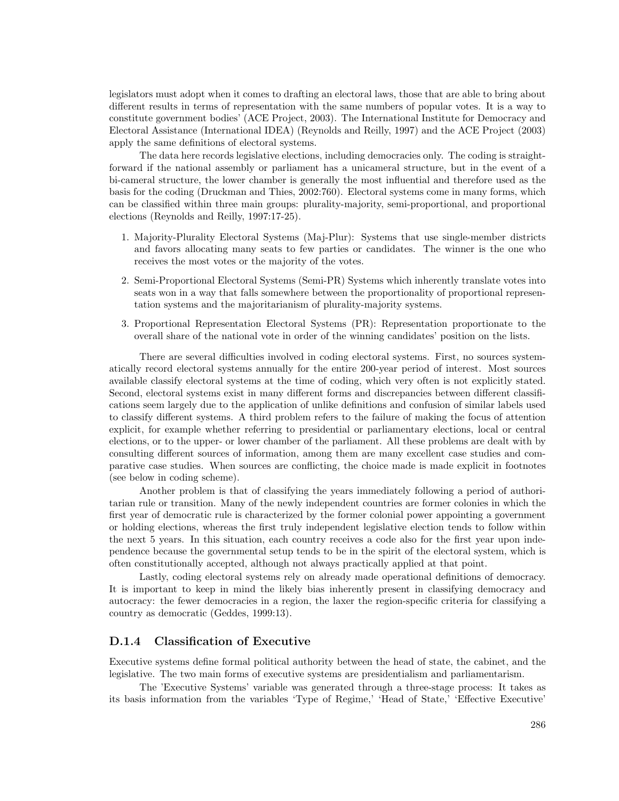legislators must adopt when it comes to drafting an electoral laws, those that are able to bring about different results in terms of representation with the same numbers of popular votes. It is a way to constitute government bodies' (ACE Project, 2003). The International Institute for Democracy and Electoral Assistance (International IDEA) (Reynolds and Reilly, 1997) and the ACE Project (2003) apply the same definitions of electoral systems.

The data here records legislative elections, including democracies only. The coding is straightforward if the national assembly or parliament has a unicameral structure, but in the event of a bi-cameral structure, the lower chamber is generally the most influential and therefore used as the basis for the coding (Druckman and Thies, 2002:760). Electoral systems come in many forms, which can be classified within three main groups: plurality-majority, semi-proportional, and proportional elections (Reynolds and Reilly, 1997:17-25).

- 1. Majority-Plurality Electoral Systems (Maj-Plur): Systems that use single-member districts and favors allocating many seats to few parties or candidates. The winner is the one who receives the most votes or the majority of the votes.
- 2. Semi-Proportional Electoral Systems (Semi-PR) Systems which inherently translate votes into seats won in a way that falls somewhere between the proportionality of proportional representation systems and the majoritarianism of plurality-majority systems.
- 3. Proportional Representation Electoral Systems (PR): Representation proportionate to the overall share of the national vote in order of the winning candidates' position on the lists.

There are several difficulties involved in coding electoral systems. First, no sources systematically record electoral systems annually for the entire 200-year period of interest. Most sources available classify electoral systems at the time of coding, which very often is not explicitly stated. Second, electoral systems exist in many different forms and discrepancies between different classifications seem largely due to the application of unlike definitions and confusion of similar labels used to classify different systems. A third problem refers to the failure of making the focus of attention explicit, for example whether referring to presidential or parliamentary elections, local or central elections, or to the upper- or lower chamber of the parliament. All these problems are dealt with by consulting different sources of information, among them are many excellent case studies and comparative case studies. When sources are conflicting, the choice made is made explicit in footnotes (see below in coding scheme).

Another problem is that of classifying the years immediately following a period of authoritarian rule or transition. Many of the newly independent countries are former colonies in which the first year of democratic rule is characterized by the former colonial power appointing a government or holding elections, whereas the first truly independent legislative election tends to follow within the next 5 years. In this situation, each country receives a code also for the first year upon independence because the governmental setup tends to be in the spirit of the electoral system, which is often constitutionally accepted, although not always practically applied at that point.

Lastly, coding electoral systems rely on already made operational definitions of democracy. It is important to keep in mind the likely bias inherently present in classifying democracy and autocracy: the fewer democracies in a region, the laxer the region-specific criteria for classifying a country as democratic (Geddes, 1999:13).

#### D.1.4 Classification of Executive

Executive systems define formal political authority between the head of state, the cabinet, and the legislative. The two main forms of executive systems are presidentialism and parliamentarism.

The 'Executive Systems' variable was generated through a three-stage process: It takes as its basis information from the variables 'Type of Regime,' 'Head of State,' 'Effective Executive'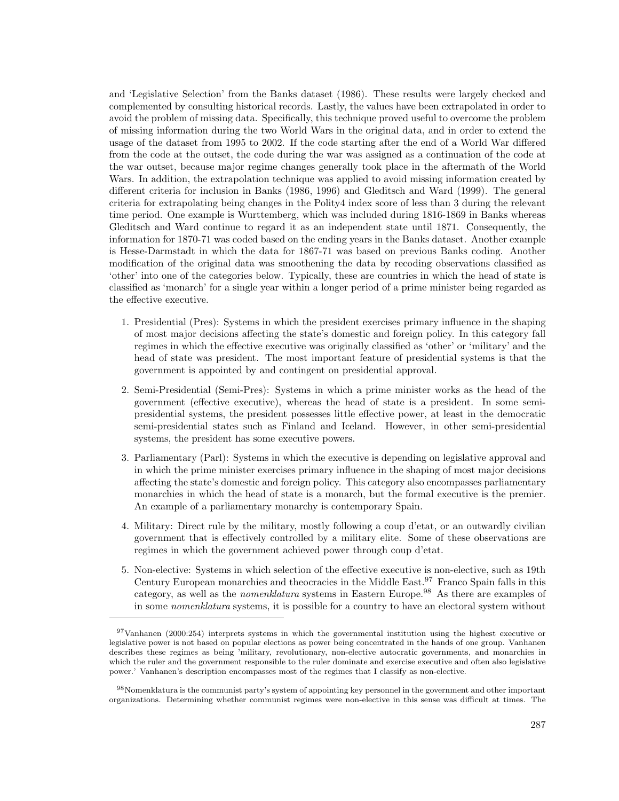and 'Legislative Selection' from the Banks dataset (1986). These results were largely checked and complemented by consulting historical records. Lastly, the values have been extrapolated in order to avoid the problem of missing data. Specifically, this technique proved useful to overcome the problem of missing information during the two World Wars in the original data, and in order to extend the usage of the dataset from 1995 to 2002. If the code starting after the end of a World War differed from the code at the outset, the code during the war was assigned as a continuation of the code at the war outset, because major regime changes generally took place in the aftermath of the World Wars. In addition, the extrapolation technique was applied to avoid missing information created by different criteria for inclusion in Banks (1986, 1996) and Gleditsch and Ward (1999). The general criteria for extrapolating being changes in the Polity4 index score of less than 3 during the relevant time period. One example is Wurttemberg, which was included during 1816-1869 in Banks whereas Gleditsch and Ward continue to regard it as an independent state until 1871. Consequently, the information for 1870-71 was coded based on the ending years in the Banks dataset. Another example is Hesse-Darmstadt in which the data for 1867-71 was based on previous Banks coding. Another modification of the original data was smoothening the data by recoding observations classified as 'other' into one of the categories below. Typically, these are countries in which the head of state is classified as 'monarch' for a single year within a longer period of a prime minister being regarded as the effective executive.

- 1. Presidential (Pres): Systems in which the president exercises primary influence in the shaping of most major decisions affecting the state's domestic and foreign policy. In this category fall regimes in which the effective executive was originally classified as 'other' or 'military' and the head of state was president. The most important feature of presidential systems is that the government is appointed by and contingent on presidential approval.
- 2. Semi-Presidential (Semi-Pres): Systems in which a prime minister works as the head of the government (effective executive), whereas the head of state is a president. In some semipresidential systems, the president possesses little effective power, at least in the democratic semi-presidential states such as Finland and Iceland. However, in other semi-presidential systems, the president has some executive powers.
- 3. Parliamentary (Parl): Systems in which the executive is depending on legislative approval and in which the prime minister exercises primary influence in the shaping of most major decisions affecting the state's domestic and foreign policy. This category also encompasses parliamentary monarchies in which the head of state is a monarch, but the formal executive is the premier. An example of a parliamentary monarchy is contemporary Spain.
- 4. Military: Direct rule by the military, mostly following a coup d'etat, or an outwardly civilian government that is effectively controlled by a military elite. Some of these observations are regimes in which the government achieved power through coup d'etat.
- 5. Non-elective: Systems in which selection of the effective executive is non-elective, such as 19th Century European monarchies and theocracies in the Middle East.<sup>97</sup> Franco Spain falls in this category, as well as the nomenklatura systems in Eastern Europe.<sup>98</sup> As there are examples of in some nomenklatura systems, it is possible for a country to have an electoral system without

<sup>97</sup>Vanhanen (2000:254) interprets systems in which the governmental institution using the highest executive or legislative power is not based on popular elections as power being concentrated in the hands of one group. Vanhanen describes these regimes as being 'military, revolutionary, non-elective autocratic governments, and monarchies in which the ruler and the government responsible to the ruler dominate and exercise executive and often also legislative power.' Vanhanen's description encompasses most of the regimes that I classify as non-elective.

<sup>98</sup>Nomenklatura is the communist party's system of appointing key personnel in the government and other important organizations. Determining whether communist regimes were non-elective in this sense was difficult at times. The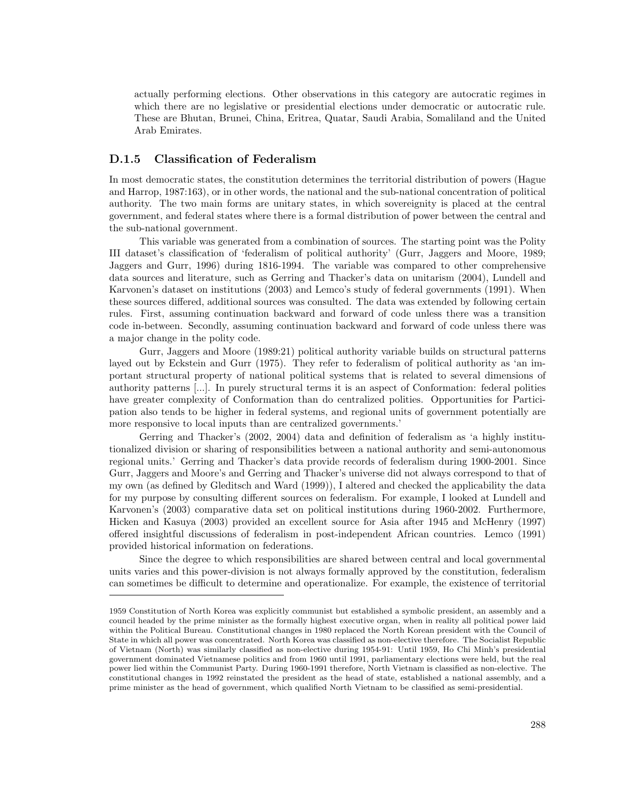actually performing elections. Other observations in this category are autocratic regimes in which there are no legislative or presidential elections under democratic or autocratic rule. These are Bhutan, Brunei, China, Eritrea, Quatar, Saudi Arabia, Somaliland and the United Arab Emirates.

#### D.1.5 Classification of Federalism

In most democratic states, the constitution determines the territorial distribution of powers (Hague and Harrop, 1987:163), or in other words, the national and the sub-national concentration of political authority. The two main forms are unitary states, in which sovereignity is placed at the central government, and federal states where there is a formal distribution of power between the central and the sub-national government.

This variable was generated from a combination of sources. The starting point was the Polity III dataset's classification of 'federalism of political authority' (Gurr, Jaggers and Moore, 1989; Jaggers and Gurr, 1996) during 1816-1994. The variable was compared to other comprehensive data sources and literature, such as Gerring and Thacker's data on unitarism (2004), Lundell and Karvonen's dataset on institutions (2003) and Lemco's study of federal governments (1991). When these sources differed, additional sources was consulted. The data was extended by following certain rules. First, assuming continuation backward and forward of code unless there was a transition code in-between. Secondly, assuming continuation backward and forward of code unless there was a major change in the polity code.

Gurr, Jaggers and Moore (1989:21) political authority variable builds on structural patterns layed out by Eckstein and Gurr (1975). They refer to federalism of political authority as 'an important structural property of national political systems that is related to several dimensions of authority patterns [...]. In purely structural terms it is an aspect of Conformation: federal polities have greater complexity of Conformation than do centralized polities. Opportunities for Participation also tends to be higher in federal systems, and regional units of government potentially are more responsive to local inputs than are centralized governments.'

Gerring and Thacker's (2002, 2004) data and definition of federalism as 'a highly institutionalized division or sharing of responsibilities between a national authority and semi-autonomous regional units.' Gerring and Thacker's data provide records of federalism during 1900-2001. Since Gurr, Jaggers and Moore's and Gerring and Thacker's universe did not always correspond to that of my own (as defined by Gleditsch and Ward (1999)), I altered and checked the applicability the data for my purpose by consulting different sources on federalism. For example, I looked at Lundell and Karvonen's (2003) comparative data set on political institutions during 1960-2002. Furthermore, Hicken and Kasuya (2003) provided an excellent source for Asia after 1945 and McHenry (1997) offered insightful discussions of federalism in post-independent African countries. Lemco (1991) provided historical information on federations.

Since the degree to which responsibilities are shared between central and local governmental units varies and this power-division is not always formally approved by the constitution, federalism can sometimes be difficult to determine and operationalize. For example, the existence of territorial

<sup>1959</sup> Constitution of North Korea was explicitly communist but established a symbolic president, an assembly and a council headed by the prime minister as the formally highest executive organ, when in reality all political power laid within the Political Bureau. Constitutional changes in 1980 replaced the North Korean president with the Council of State in which all power was concentrated. North Korea was classified as non-elective therefore. The Socialist Republic of Vietnam (North) was similarly classified as non-elective during 1954-91: Until 1959, Ho Chi Minh's presidential government dominated Vietnamese politics and from 1960 until 1991, parliamentary elections were held, but the real power lied within the Communist Party. During 1960-1991 therefore, North Vietnam is classified as non-elective. The constitutional changes in 1992 reinstated the president as the head of state, established a national assembly, and a prime minister as the head of government, which qualified North Vietnam to be classified as semi-presidential.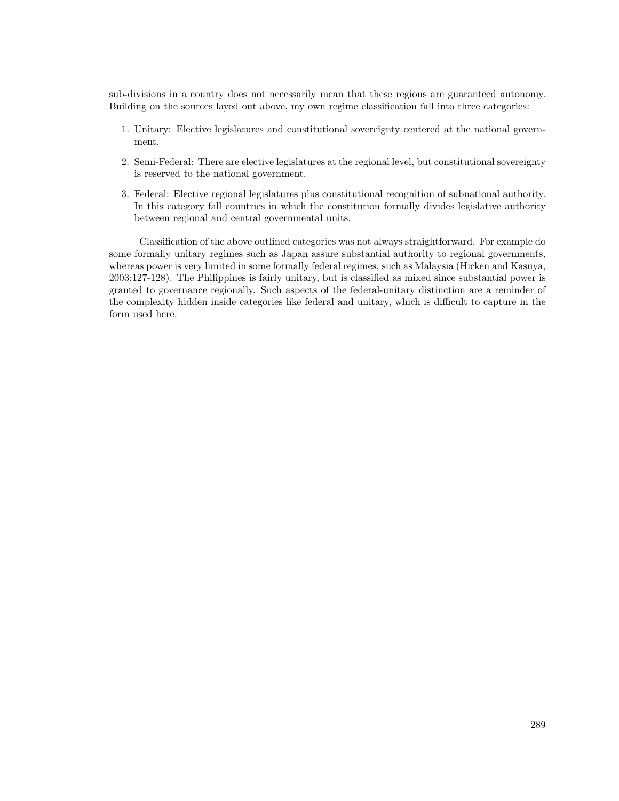sub-divisions in a country does not necessarily mean that these regions are guaranteed autonomy. Building on the sources layed out above, my own regime classification fall into three categories:

- 1. Unitary: Elective legislatures and constitutional sovereignty centered at the national government.
- 2. Semi-Federal: There are elective legislatures at the regional level, but constitutional sovereignty is reserved to the national government.
- 3. Federal: Elective regional legislatures plus constitutional recognition of subnational authority. In this category fall countries in which the constitution formally divides legislative authority between regional and central governmental units.

Classification of the above outlined categories was not always straightforward. For example do some formally unitary regimes such as Japan assure substantial authority to regional governments, whereas power is very limited in some formally federal regimes, such as Malaysia (Hicken and Kasuya, 2003:127-128). The Philippines is fairly unitary, but is classified as mixed since substantial power is granted to governance regionally. Such aspects of the federal-unitary distinction are a reminder of the complexity hidden inside categories like federal and unitary, which is difficult to capture in the form used here.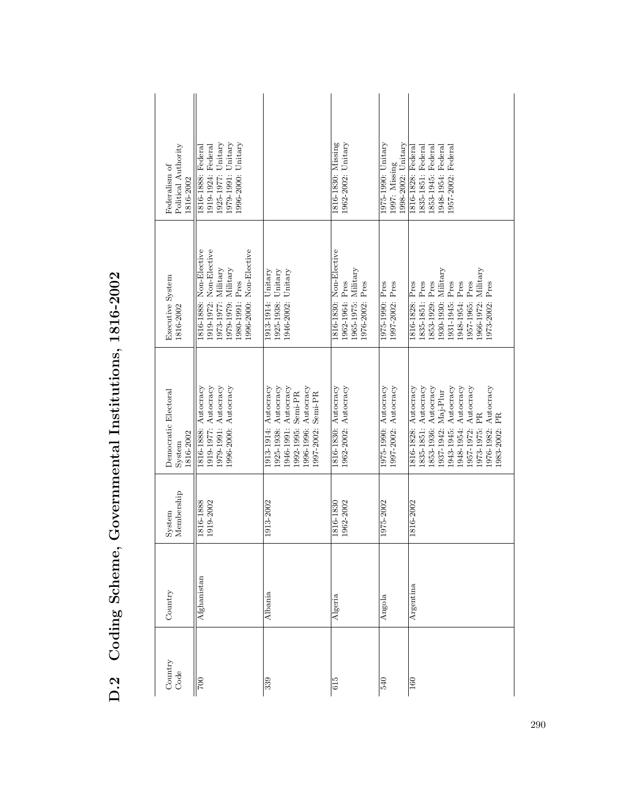| Political Authority<br>Federalism of<br>1816-2002 | 1996-2000: Unitary<br>1979-1991: Unitary<br>1925-1977: Unitary<br>1919-1924: Federal<br>1816-1888: Federal                                        |                                                                                                                                                   | 1962-2002: Unitary<br>1816-1830: Missing                                             | 998-2002: Unitary<br>1975-1990: Unitary<br>1997: Missing | 1853-1945: Federal<br>1835-1851: Federal<br>1948-1954: Federal<br>957-2002: Federal<br>1816-1828: Federal                                                                                                                                 |
|---------------------------------------------------|---------------------------------------------------------------------------------------------------------------------------------------------------|---------------------------------------------------------------------------------------------------------------------------------------------------|--------------------------------------------------------------------------------------|----------------------------------------------------------|-------------------------------------------------------------------------------------------------------------------------------------------------------------------------------------------------------------------------------------------|
| Executive System<br>1816-2002                     | 1816-1888: Non-Elective<br>1996-2000: Non-Elective<br>1919-1972: Non-Elective<br>1979-1979: Military<br>$1973-1977$ : Military<br>1980-1991: Pres | 1946-2002: Unitary<br>1913-1914: Unitary<br>1925-1938: Unitary                                                                                    | 1816-1830: Non-Elective<br>1965-1975: Military<br>1976-2002: Pres<br>1962-1964: Pres | 1975-1990: Pres<br>1997-2002: Pres                       | 1966-1972: Military<br>1930-1930: Military<br>1853-1929: Pres<br>1957-1965: Pres<br>1835-1851: Pres<br>1948-1954: Pres<br>973-2002: Pres<br>1816-1828: Pres<br>1931-1945: Pres                                                            |
| Democratic Electoral<br>1816-2002<br>$System$     | 1979-1991: Autocracy<br>1919-1977: Autocracy<br>1996-2000: Autocracy<br>1816-1888: Autocracy                                                      | 1925-1938: Autocracy<br>Autocracy<br>1946-1991: Autocracy<br>1996-1996: Autocracy<br>Semi-PR<br>Semi-PR<br>1913-1914:<br>1992-1995:<br>1997-2002: | 1962-2002: Autocracy<br>1816-1830: Autocracy                                         | 1997-2002: Autocracy<br>1975-1990: Autocracy             | 1816-1828: Autocracy<br>1835-1851: Autocracy<br>1943-1945: Autocracy<br>Autocracy<br>Autocracy<br>853-1936: Autocracy<br>Autocracy<br>.937-1942: Maj-Plur<br>PR<br>PR<br>.948-1954:<br>973-1975:<br>1976-1982:<br>.983-2002:<br>957-1972: |
| Membership<br>System                              | 1919-2002<br>1816-1888                                                                                                                            | 1913-2002                                                                                                                                         | 1962-2002<br>1816-1830                                                               | 1975-2002                                                | 1816-2002                                                                                                                                                                                                                                 |
| Country                                           | $\rm{Afg}$ hanistan                                                                                                                               | Albania                                                                                                                                           | Algeria                                                                              | Angola                                                   | Argentina                                                                                                                                                                                                                                 |
| Country<br>Code                                   | $\overline{00}$                                                                                                                                   | 339                                                                                                                                               | 615                                                                                  | 540                                                      | 160                                                                                                                                                                                                                                       |

D.2 Coding Scheme, Governmental Institutions, 1816-2002 D.2 Coding Scheme, Governmental Institutions, 1816-2002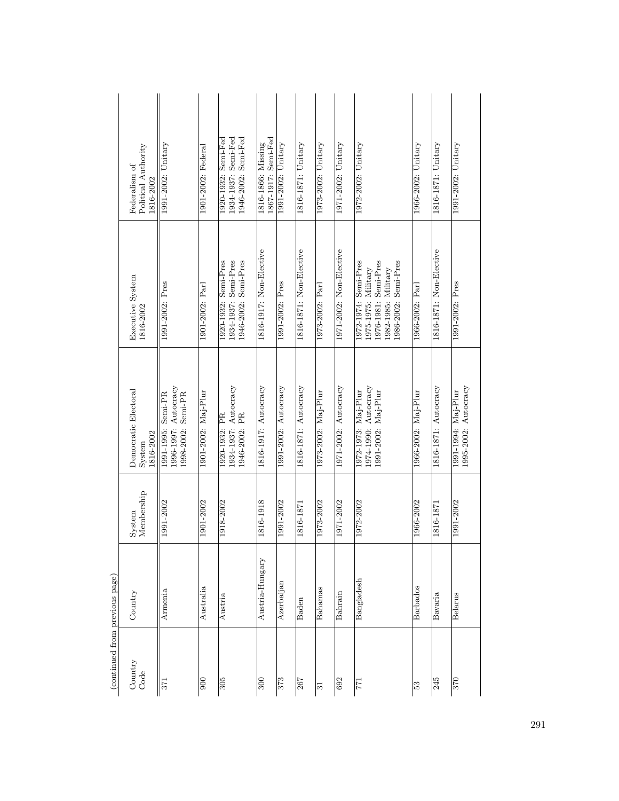| $\begin{array}{c} \begin{array}{c} \begin{array}{c} \begin{array}{c} \end{array} \end{array} \end{array} \end{array} \end{array}$ | Professor Archi |                      |                                                                     |                                                                                                                    |                                                                   |
|-----------------------------------------------------------------------------------------------------------------------------------|-----------------|----------------------|---------------------------------------------------------------------|--------------------------------------------------------------------------------------------------------------------|-------------------------------------------------------------------|
| Country<br>Code                                                                                                                   | Country         | Membership<br>System | Democratic Electoral<br>1816-2002<br>System                         | Executive System<br>1816-2002                                                                                      | Political Authority<br>Federalism of<br>1816-2002                 |
| $\overline{57}$                                                                                                                   | Armenia         | 1991-2002            | 1996-1997: Autocracy<br>Semi-PR<br>1998-2002: Semi-PR<br>1991-1995: | 1991-2002: Pres                                                                                                    | 1991-2002: Unitary                                                |
| $\frac{6}{2}$                                                                                                                     | Australia       | 1901-2002            | 1901-2002: Maj-Plur                                                 | 1901-2002: Parl                                                                                                    | 1901-2002: Federal                                                |
| 305                                                                                                                               | Austria         | 1918-2002            | 1934-1937: Autocracy<br>1946-2002: PR<br>1920-1932: PR              | 1920-1932: Semi-Pres<br>1934-1937: Semi-Pres<br>1946-2002: Semi-Pres                                               | 1934-1937: Semi-Fed<br>1946-2002: Semi-Fed<br>1920-1932: Semi-Fed |
| 300                                                                                                                               | Austria-Hungary | 1816-1918            | 1816-1917: Autocracy                                                | 1816-1917: Non-Elective                                                                                            | 1867-1917: Semi-Fed<br>1816-1866: Missing                         |
| 373                                                                                                                               | Azerbaijan      | 1991-2002            | 1991-2002: Autocracy                                                | 1991-2002: Pres                                                                                                    | $1991-2002$ : Unitary                                             |
| 267                                                                                                                               | Baden           | 1816-1871            | 1816-1871: Autocracy                                                | 1816-1871: Non-Elective                                                                                            | 1816-1871: Unitary                                                |
| $\overline{31}$                                                                                                                   | Bahamas         | 1973-2002            | 1973-2002: Maj-Plur                                                 | 1973-2002: Parl                                                                                                    | 1973-2002: Unitary                                                |
| 692                                                                                                                               | Bahrain         | 1971-2002            | 1971-2002: Autocracy                                                | 1971-2002: Non-Elective                                                                                            | 1971-2002: Unitary                                                |
| 171                                                                                                                               | Bangladesh      | 1972-2002            | 1974-1990: Autocracy<br>1972-1973: Maj-Plur<br>1991-2002: Maj-Plur  | 1972-1974: Semi-Pres<br>1976-1981: Semi-Pres<br>1986-2002: Semi-Pres<br>1982-1985: Military<br>1975-1975: Military | 1972-2002: Unitary                                                |
| ြို့                                                                                                                              | <b>Barbados</b> | 1966-2002            | 1966-2002: Maj-Plur                                                 | 1966-2002: Parl                                                                                                    | 1966-2002: Unitary                                                |
| 245                                                                                                                               | Bavaria         | 1816-1871            | 1816-1871: Autocracy                                                | 1816-1871: Non-Elective                                                                                            | 1816-1871: Unitary                                                |
| $\frac{025}{20}$                                                                                                                  | Belarus         | 1991-2002            | 1995-2002: Autocracy<br>1991-1994: Maj-Plur                         | 1991-2002: Pres                                                                                                    | 1991-2002: Unitary                                                |

 $\left(\textrm{continued from previous page}\right)$ (continued from previous page)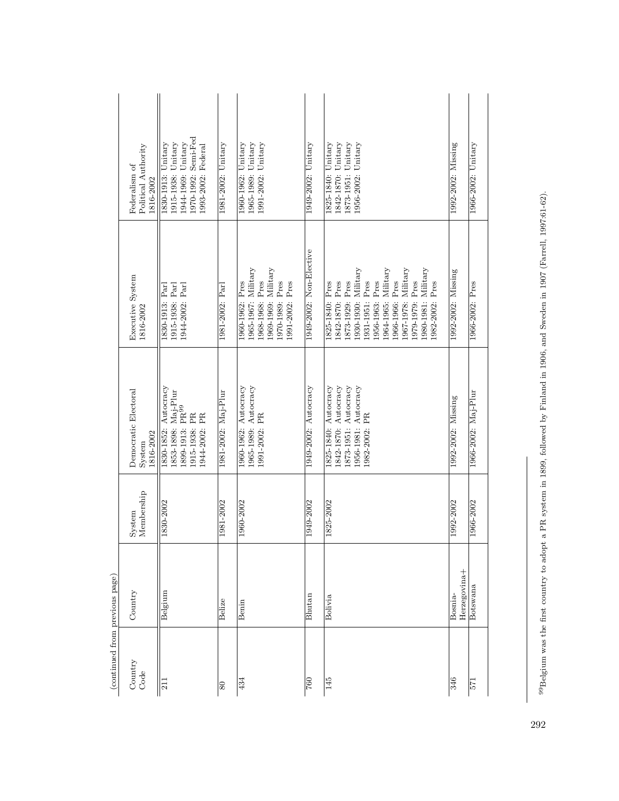| (continued from previous page) |                         |                      |                                                                                                                    |                                                                                                                                                                                                                                                  |                                                                                                             |
|--------------------------------|-------------------------|----------------------|--------------------------------------------------------------------------------------------------------------------|--------------------------------------------------------------------------------------------------------------------------------------------------------------------------------------------------------------------------------------------------|-------------------------------------------------------------------------------------------------------------|
| Country<br>Code                | Country                 | Membership<br>System | Democratic Electoral<br>1816-2002<br>System                                                                        | Executive System<br>1816-2002                                                                                                                                                                                                                    | Political Authority<br>Federalism of<br>1816-2002                                                           |
| $\overline{11}$                | Belgium                 | 1830-2002            | Autocracy<br>Maj-Plur<br>1899-1913: PR <sup>99</sup><br>1915-1938: PR<br>1944-2002: PR<br>1853-1898:<br>1830-1852: | 1944-2002: Parl<br>1915-1938: Parl<br>1830-1913: Parl                                                                                                                                                                                            | 1970-1992: Semi-Fed<br>1944-1969: Unitary<br>1915-1938: Unitary<br>1830-1913: Unitary<br>1993-2002: Federal |
| $\overline{80}$                | Belize                  | 1981-2002            | 1981-2002: Maj-Plur                                                                                                | 1981-2002: Parl                                                                                                                                                                                                                                  | 1981-2002: Unitary                                                                                          |
| 434                            | Benin                   | 1960-2002            | 1960-1962: Autocracy<br>1965-1989: Autocracy<br>1991-2002: PR                                                      | 1965-1967: Military<br>1969-1969: Military<br>1968-1968: Pres<br>1970-1989: Pres<br>1960-1962: Pres<br>1991-2002: Pres                                                                                                                           | 1991-2002: Unitary<br>1965-1989: Unitary<br>1960-1962: Unitary                                              |
| 760                            | Bhutan                  | 1949-2002            | 1949-2002: Autocracy                                                                                               | 1949-2002: Non-Elective                                                                                                                                                                                                                          | 1949-2002: Unitary                                                                                          |
| 145                            | Bolivia                 | 1825-2002            | 1956-1981: Autocracy<br>1825-1840: Autocracy<br>1842-1870: Autocracy<br>1873-1951: Autocracy<br>1982-2002: PR      | 1930-1930: Military<br>1964-1965: Military<br>1967-1978: Military<br>1980-1981: Military<br>1966-1966: Pres<br>1979-1979: Pres<br>1956-1963: Pres<br>1873-1929: Pres<br>1931-1951: Pres<br>.982-2002: Pres<br>1842-1870: Pres<br>1825-1840: Pres | 1873-1951: Unitary<br>1956-2002: Unitary<br>1825-1840: Unitary<br>1842-1870: Unitary                        |
| 346                            | Herzegovina+<br>Bosnia- | 1992-2002            | 1992-2002: Missing                                                                                                 | 1992-2002: Missing                                                                                                                                                                                                                               | 1992-2002: Missing                                                                                          |
| 571                            | Botswana                | 1966-2002            | 1966-2002: Maj-Plur                                                                                                | 1966-2002: Pres                                                                                                                                                                                                                                  | 1966-2002: Unitary                                                                                          |
|                                |                         |                      |                                                                                                                    |                                                                                                                                                                                                                                                  |                                                                                                             |

99 Belgium was the first country to adopt a PR system in 1899, followed by Finland in 1906, and Sweden in 1907 (Farrell, 1997:61-62). 99Belgium was the first country to adopt a PR system in 1899, followed by Finland in 1906, and Sweden in 1907 (Farrell, 1997:61-62).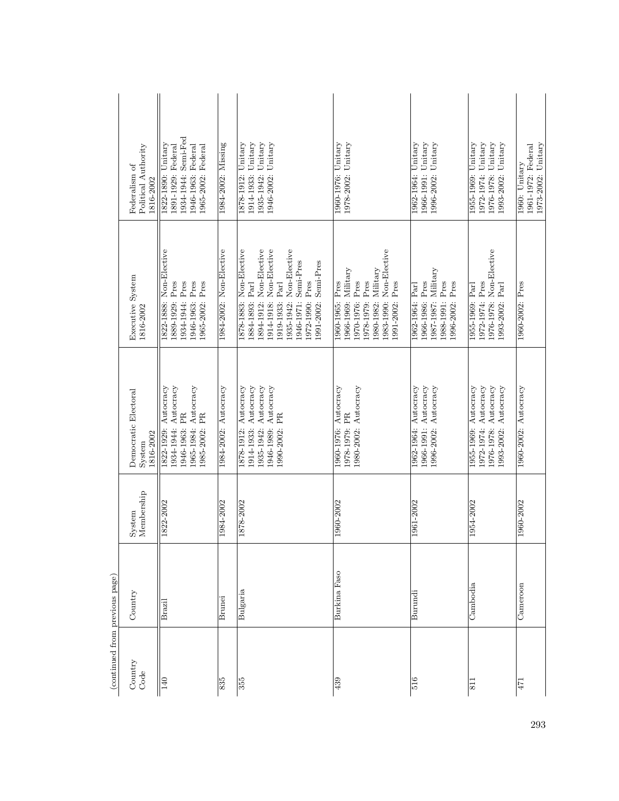| Country<br>Code  | Country       | Membership<br>System | Democratic Electoral<br>1816-2002<br>System                                                                   | Executive System<br>1816-2002                                                                                                                                                                                              | Political Authority<br>Federalism of<br>1816-2002                                                              |
|------------------|---------------|----------------------|---------------------------------------------------------------------------------------------------------------|----------------------------------------------------------------------------------------------------------------------------------------------------------------------------------------------------------------------------|----------------------------------------------------------------------------------------------------------------|
| 140              | Brazil        | 1822-2002            | 1822-1929: Autocracy<br>Autocracy<br>1965-1984: Autocracy<br>1946-1963: PR<br>1985-2002: PR<br>1934-1944:     | 1822-1888: Non-Elective<br>1934-1944: Pres<br>1946-1963: Pres<br>1965-2002: Pres<br>1889-1929: Pres                                                                                                                        | 1934-1944: Semi-Fed<br>Unitary<br>1891-1929: Federal<br>1946-1963: Federal<br>1965-2002: Federal<br>1822-1890: |
| 835              | <b>Brunei</b> | 1984-2002            | 1984-2002: Autocracy                                                                                          | 1984-2002: Non-Elective                                                                                                                                                                                                    | 1984-2002: Missing                                                                                             |
| 355              | Bulgaria      | 1878-2002            | 1946-1989: Autocracy<br>1914-1933: Autocracy<br>1935-1942: Autocracy<br>1878-1912: Autocracy<br>1990-2002: PR | 1878-1883: Non-Elective<br>1894-1912: Non-Elective<br>Non-Elective<br>1935-1942: Non-Elective<br>Semi-Pres<br>1991-2002: Semi-Pres<br>1972-1990: Pres<br>Part<br>1884-1893: Parl<br>1914-1918:<br>1919-1933:<br>1946-1971: | Unitary<br>1946-2002: Unitary<br>1914-1933: Unitary<br>Unitary<br>1878-1912:<br>1935-1942:                     |
| 439              | Burkina Faso  | 1960-2002            | 1960-1976: Autocracy<br>1980-2002: Autocracy<br>1978-1979: PR                                                 | Non-Elective<br>1966-1969: Military<br>1980-1982: Military<br>1960-1965: Pres<br>Pres<br>Pres<br>1991-2002: Pres<br>1970-1976:<br>1978-1979:<br>1983-1990:                                                                 | 1978-2002: Unitary<br>1960-1976: Unitary                                                                       |
| 516              | Burundi       | 1961-2002            | 1966-1991: Autocracy<br>1962-1964: Autocracy<br>1996-2002: Autocracy                                          | 1987-1987: Military<br>1966-1986: Pres<br>1988-1991: Pres<br>1996-2002: Pres<br>1962-1964: Parl                                                                                                                            | 1966-1991: Unitary<br>1962-1964: Unitary<br>1996-2002: Unitary                                                 |
| $\overline{\Xi}$ | Cambodia      | 1954-2002            | 1972-1974: Autocracy<br>1976-1978: Autocracy<br>1955-1969: Autocracy<br>1993-2002: Autocracy                  | 1976-1978: Non-Elective<br>1972-1974: Pres<br>1993-2002: Parl<br>1955-1969: Parl                                                                                                                                           | 1955-1969: Unitary<br>Unitary<br>1976-1978: Unitary<br>1993-2002: Unitary<br>1972-1974:                        |
| 471              | Cameroon      | 1960-2002            | 1960-2002: Autocracy                                                                                          | 1960-2002: Pres                                                                                                                                                                                                            | 1973-2002: Unitary<br>1961-1972: Federal<br>1960: Unitary                                                      |

 $\left(\textrm{continued from previous page}\right)$ (continued from previous page)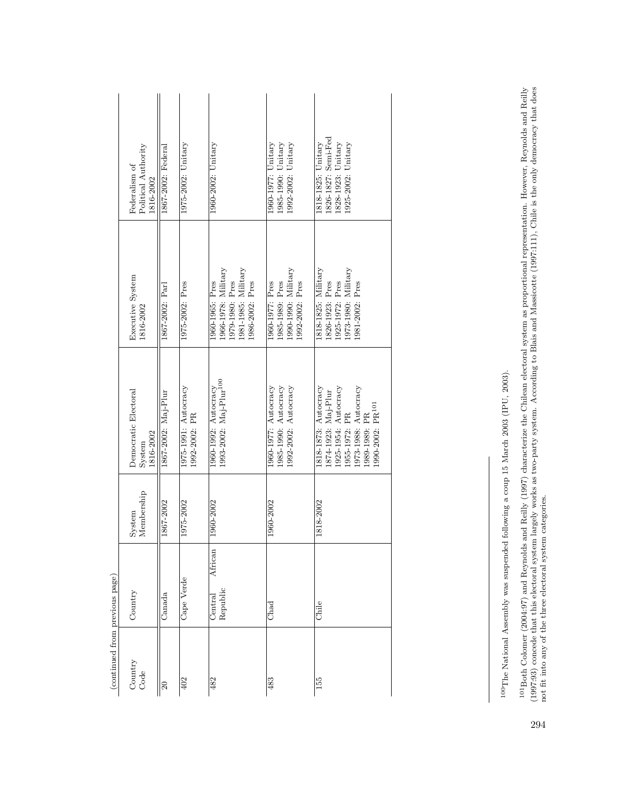| (continued from previous page)<br>Country |                                       |                      |                                                                                                                                                              |                                                                                                        |                                                                                       |
|-------------------------------------------|---------------------------------------|----------------------|--------------------------------------------------------------------------------------------------------------------------------------------------------------|--------------------------------------------------------------------------------------------------------|---------------------------------------------------------------------------------------|
| Code                                      | Country                               | Membership<br>System | Democratic Electoral<br>1816-2002<br>System                                                                                                                  | Executive System<br>1816-2002                                                                          | Political Authority<br>Federalism of<br>1816-2002                                     |
|                                           | Canada                                | 1867-2002            | 1867-2002: Maj-Plur                                                                                                                                          | 1867-2002: Parl                                                                                        | 1867-2002: Federal                                                                    |
|                                           | Cape Verde                            | 1975-2002            | 1975-1991: Autocracy<br>1992-2002: PR                                                                                                                        | 1975-2002: Pres                                                                                        | 1975-2002: Unitary                                                                    |
|                                           | African<br>Republic<br><b>Central</b> | 1960-2002            | 1993-2002: Maj-Plur <sup>100</sup><br>1960-1992: $Autocracy$                                                                                                 | 1966-1978: Military<br>1981-1985: Military<br>1979-1980: Pres<br>1960-1965: Pres<br>1986-2002: Pres    | $1960 - 2002$ : Unitary                                                               |
|                                           | Chad                                  | 1960-2002            | 1992-2002: Autocracy<br>1960-1977: Autocracy<br>1985-1990: Autocracy                                                                                         | $1990-1990$ : Military<br>1985-1989: Pres<br>1992-2002: Pres<br>1960-1977: Pres                        | 1985-1990: Unitary<br>$1960 - 1977$ : Unitary<br>$1992-2002$ : Unitary                |
|                                           | Chile                                 | 1818-2002            | 1874-1923: Maj-Plur<br>1925-1954: Autocracy<br>1818-1873: Autocracy<br>.973-1988: Autocracy<br>.990-2002: PR <sup>101</sup><br>955-1972: PR<br>1989-1989: PR | 1818-1825: Military<br>$1973-1980$ : Military<br>1925-1972: Pres<br>.981-2002: Pres<br>1826-1923: Pres | 1826-1827: Semi-Fed<br>1828-1923: Unitary<br>1925-2002: Unitary<br>1818-1825: Unitary |

 $^{100}\mathrm{The}$  National Assembly was suspended following a coup 15 March 2003 (IPU, 2003). 100The National Assembly was suspended following a coup 15 March 2003 (IPU, 2003).

<sup>101</sup> Both Colomer (2004:97) and Reynolds and Reilly (1997) characterize the Chilean electoral system as proportional representation. However, Reynolds and Reilly (1997:93) concede that this electoral system largely works a 101Both Colomer (2004:97) and Reynolds and Reilly (1997) characterize the Chilean electoral system as proportional representation. However, Reynolds and Reilly (1997:93) concede that this electoral system largely works as two-party system. According to Blais and Massicotte (1997:111), Chile is the only democracy that does not fit into any of the three electoral system categories.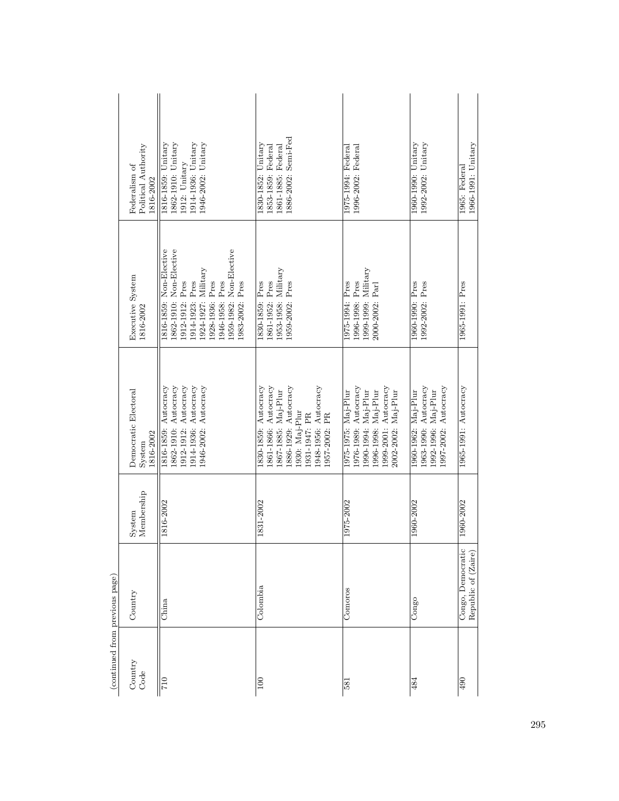| (continued from previous page) |                                          |                      |                                                                                                                                                                      |                                                                                                                                                                                                     |                                                                                                       |
|--------------------------------|------------------------------------------|----------------------|----------------------------------------------------------------------------------------------------------------------------------------------------------------------|-----------------------------------------------------------------------------------------------------------------------------------------------------------------------------------------------------|-------------------------------------------------------------------------------------------------------|
| Country<br>Code                | Country                                  | Membership<br>System | Democratic Electoral<br>1816-2002<br>System                                                                                                                          | Executive System<br>1816-2002                                                                                                                                                                       | Political Authority<br>Federalism of<br>1816-2002                                                     |
| $\frac{017}{2}$                | China                                    | 1816-2002            | 1912-1912: Autocracy<br>1914-1936: Autocracy<br>1862-1910: Autocracy<br>1946-2002: Autocracy<br>1816-1859: Autocracy                                                 | 1816-1859: Non-Elective<br>1959-1982: Non-Elective<br>1862-1910: Non-Elective<br>1924-1927: Military<br>1914-1923: Pres<br>1946-1958: Pres<br>1912-1912: Pres<br>1928-1936: Pres<br>1983-2002: Pres | 1914-1936: Unitary<br>1816-1859: Unitary<br>1862-1910: Unitary<br>1946-2002: Unitary<br>1912: Unitary |
| $\overline{100}$               | Colombia                                 | 1831-2002            | 1830-1859: Autocracy<br>861-1866: Autocracy<br>886-1929: Autocracy<br>1948-1956: Autocracy<br>867-1885: Maj-Plur<br>.930: Maj-Plur<br>1931-1947: PR<br>1957-2002: PR | 1953-1958: Military<br>1830-1859: Pres<br>1861-1952: Pres<br>1959-2002: Pres                                                                                                                        | 1886-2002: Semi-Fed<br>1830-1852: Unitary<br>1861-1885: Federal<br>1853-1859: Federal                 |
| 581                            | Comoros                                  | 1975-2002            | 1976-1989: Autocracy<br>1999-2001: Autocracy<br>1996-1998: Maj-Plur<br>1975-1975: Maj-Plur<br>1990-1994: Maj-Plur<br>2002-2002: Maj-Plur                             | 1999-1999: Military<br>1996-1998: Pres<br>1975-1994: Pres<br>2000-2002: Parl                                                                                                                        | 1996-2002: Federal<br>1975-1994: Federal                                                              |
| 484                            | Congo                                    | 1960-2002            | 1963-1990: Autocracy<br>997-2002: Autocracy<br>1992-1996: Maj-Plur<br>1960-1962: Maj-Plur                                                                            | 1960-1990: Pres<br>1992-2002: Pres                                                                                                                                                                  | 1960-1990: Unitary<br>1992-2002: Unitary                                                              |
| $\overline{490}$               | Congo, Democratic<br>Republic of (Zaire) | 1960-2002            | 1965-1991: Autocracy                                                                                                                                                 | 1965-1991: Pres                                                                                                                                                                                     | 1966-1991: Unitary<br>1965: Federal                                                                   |

| í                |
|------------------|
| .<br>í<br>ś<br>į |
|                  |
| ì                |
|                  |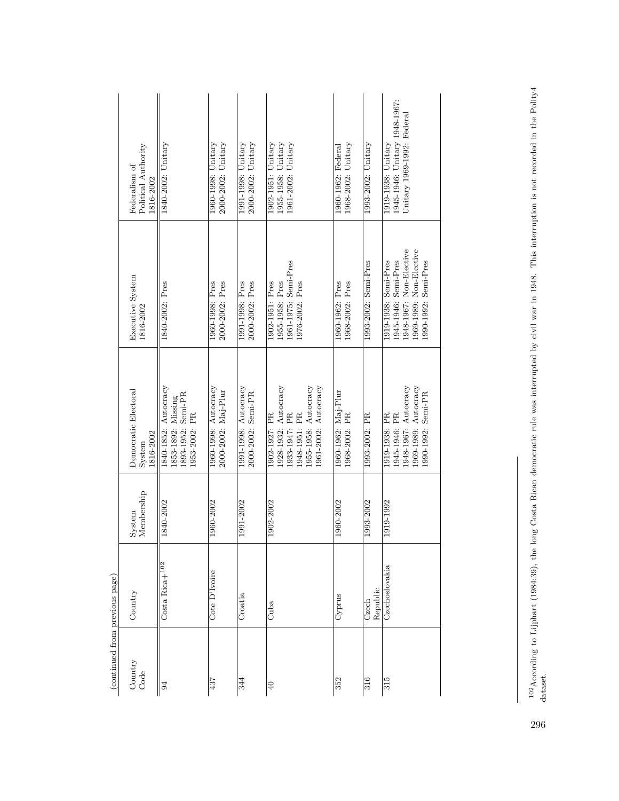|                                | Political Authority<br>Federalism of<br>1816-2002 | 1840-2002: Unitary                                                                   | 2000-2002: Unitary<br>1960-1998: Unitary    | $2000-2002$ : Unitary<br>1991-1998: Unitary | 1955-1958: Unitary<br>$1902 - 1951$ : Unitary<br>1961-2002: Unitary                                                     | 1968-2002: Unitary<br>1960-1962: Federal | 1993-2002: Unitary   | 1945-1946: Unitary 1948-1967:<br>Unitary 1969-1992: Federal<br>1919-1938: Unitary                                          |
|--------------------------------|---------------------------------------------------|--------------------------------------------------------------------------------------|---------------------------------------------|---------------------------------------------|-------------------------------------------------------------------------------------------------------------------------|------------------------------------------|----------------------|----------------------------------------------------------------------------------------------------------------------------|
|                                | Executive System<br>1816-2002                     | 1840-2002: Pres                                                                      | 2000-2002: Pres<br>1960-1998: Pres          | 1991-1998: Pres<br>2000-2002: Pres          | 1961-1975: Semi-Pres<br>1955-1958: Pres<br>1976-2002: Pres<br>1902-1951: Pres                                           | 1968-2002: Pres<br>1960-1962: Pres       | 1993-2002: Semi-Pres | 1948-1967: Non-Elective<br>1969-1989: Non-Elective<br>1990-1992: Semi-Pres<br>1945-1946: Semi-Pres<br>1919-1938: Semi-Pres |
|                                | Democratic Electoral<br>1816-2002<br>System       | Autocracy<br>1893-1952: Semi-PR<br>1853-1892: Missing<br>1953-2002: PR<br>1840-1852: | 1960-1998: Autocracy<br>2000-2002: Maj-Plur | 1991-1998: Autocracy<br>2000-2002: Semi-PR  | 1955-1958: Autocracy<br>1928-1932: Autocracy<br>1961-2002: Autocracy<br>.933-1947: PR<br>1948-1951: PR<br>1902-1927: PR | 1960-1962: Maj-Plur<br>1968-2002: PR     | 1993-2002: PR        | 1948-1967: Autocracy<br>1969-1989: Autocracy<br>1990-1992: Semi-PR<br>1919-1938: PR<br>1945-1946: PR                       |
|                                | Membership<br>System                              | 1840-2002                                                                            | 1960-2002                                   | 1991-2002                                   | 1902-2002                                                                                                               | 1960-2002                                | 1993-2002            | 1919-1992                                                                                                                  |
|                                | Country                                           | Costa Rica <sup>102</sup>                                                            | Cote D'Ivoire                               | Croatia                                     | Cuba                                                                                                                    | Cyprus                                   | Republic<br>Czech    | Czechoslovakia                                                                                                             |
| (continued from previous page) | Country<br>Code                                   | 94                                                                                   | 437                                         | 344                                         | $\frac{1}{4}$                                                                                                           | 352                                      | 316                  | 315                                                                                                                        |

102According to Lijphart (1984:39), the long Costa Rican democratic rule was interrupted by civil war in 1948. This interruption is not recorded in the Polity4 <sup>102</sup> According to Lijphart (1984:39), the long Costa Rican democratic rule was interrupted by civil war in 1948. This interruption is not recorded in the Polity4 dataset.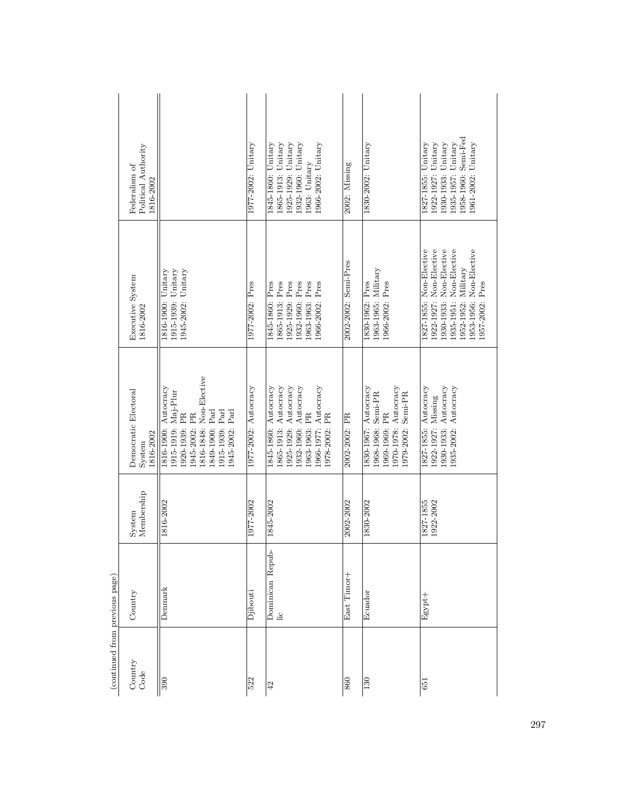|                                | Political Authority<br>Federalism of<br>1816-2002 |                                                                                                                                                                                            | 1977-2002: Unitary   | 1845-1860: Unitary<br>1865-1913: Unitary<br>1925-1929: Unitary<br>1932-1960: Unitary<br>966-2002: Unitary<br>1963: Unitary                                   | 2002: Missing        | 1830-2002: Unitary                                                                                                 | 1958-1960: Semi-Fed<br>Unitary<br>Unitary<br>1922-1927: Unitary<br>1935-1957: Unitary<br>1827-1855: Unitary<br>.961-2002:<br>1930-1933:                                      |
|--------------------------------|---------------------------------------------------|--------------------------------------------------------------------------------------------------------------------------------------------------------------------------------------------|----------------------|--------------------------------------------------------------------------------------------------------------------------------------------------------------|----------------------|--------------------------------------------------------------------------------------------------------------------|------------------------------------------------------------------------------------------------------------------------------------------------------------------------------|
|                                | Executive System<br>1816-2002                     | 1945-2002: Unitary<br>Unitary<br>Unitary<br>1816-1900:<br>1915-1939:                                                                                                                       | 1977-2002: Pres      | 1925-1929: Pres<br>1932-1960: Pres<br>1963-1963: Pres<br>1845-1860: Pres<br>1865-1913: Pres<br>.966-2002: Pres                                               | 2002-2002: Semi-Pres | 1963-1965: Military<br>1830-1962: Pres<br>1966-2002: Pres                                                          | 1930-1933: Non-Elective<br>1827-1855: Non-Elective<br>1922-1927: Non-Elective<br>1935-1951: Non-Elective<br>1953-1956: Non-Elective<br>1952-1952: Military<br>957-2002: Pres |
|                                | Democratic Electoral<br>1816-2002<br>System       | Non-Elective<br>Autocracy<br>$Maj-Plur$<br>Parl<br>Parl<br>Parl<br>ÊŘ<br>PR<br>1945-2002:<br>1816-1900:<br>1920-1939:<br>1945-2002:<br>816-1848:<br>1849-1900:<br>1915-1939:<br>1915-1919: | 1977-2002: Autocracy | 1845-1860: Autocracy<br>1865-1913: Autocracy<br>Autocracy<br>1925-1929: Autocracy<br>.966-1977: Autocracy<br>PR<br>.978-2002: PR<br>1932-1960:<br>1963-1963: | 2002-2002: PR        | 1830-1967: Autocracy<br>1970-1978: Autocracy<br>Semi-PR<br>Semi-PR<br>PR<br>1969-1969:<br>1968-1968:<br>1979-2002: | 1930-1933: Autocracy<br>1827-1855: Autocracy<br>1935-2002: Autocracy<br>1922-1927: Missing                                                                                   |
|                                | Membership<br>System                              | 1816-2002                                                                                                                                                                                  | 1977-2002            | 1845-2002                                                                                                                                                    | 2002-2002            | 1830-2002                                                                                                          | 1827-1855<br>1922-2002                                                                                                                                                       |
|                                | Country                                           | Denmark                                                                                                                                                                                    | Djibouti             | Dominican Repub-<br>Lic                                                                                                                                      | East Timor+          | Ecuador                                                                                                            | Egypt+                                                                                                                                                                       |
| (continued from previous page) | Country<br>Code                                   | $\frac{1}{300}$                                                                                                                                                                            | 522                  | 42                                                                                                                                                           | 860                  | 130                                                                                                                | 651                                                                                                                                                                          |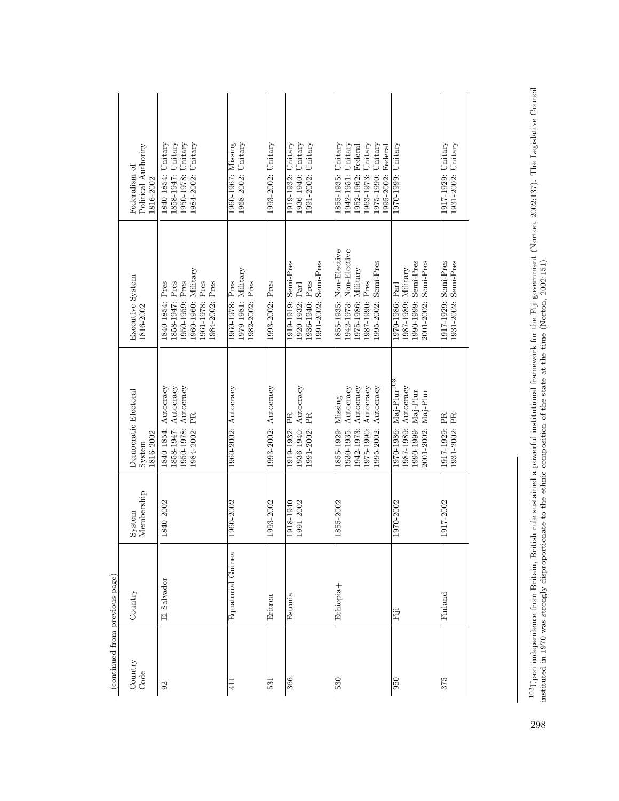| 1917-1929: Unitary<br>1931-2002: Unitary<br>1917-1929: Semi-Pres<br>1931-2002: Semi-Pres<br>1917-1929: PR<br>1931-2002: PR<br>1917-2002 |
|-----------------------------------------------------------------------------------------------------------------------------------------|
|                                                                                                                                         |

 $^{103}$ Upon independence from Britain, British rule sustained a powerful institutional framework for the Fiji government (Norton, 2002:137). The Legislative Council instituted in 1970 was strongly disproportionate to the 103Upon independence from Britain, British rule sustained a powerful institutional framework for the Fiji government (Norton, 2002:137). The Legislative Council instituted in 1970 was strongly disproportionate to the ethnic composition of the state at the time (Norton, 2002:151).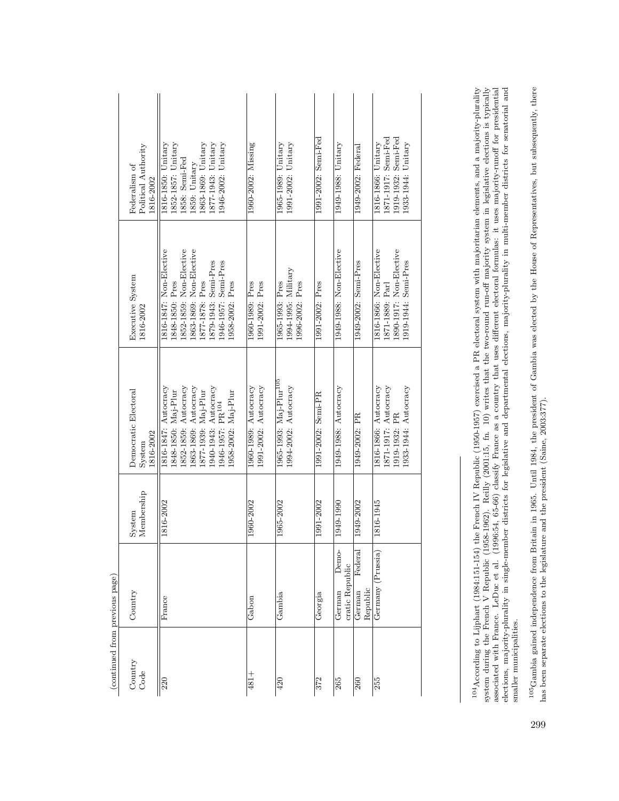| (continued from previous page) |                                           |                      |                                                                                                                                                                                                  |                                                                                                                                                                                        |                                                                                                                                               |
|--------------------------------|-------------------------------------------|----------------------|--------------------------------------------------------------------------------------------------------------------------------------------------------------------------------------------------|----------------------------------------------------------------------------------------------------------------------------------------------------------------------------------------|-----------------------------------------------------------------------------------------------------------------------------------------------|
| Country<br>Code                | Country                                   | Membership<br>System | Democratic Electoral<br>1816-2002<br>System                                                                                                                                                      | Executive System<br>1816-2002                                                                                                                                                          | Political Authority<br>Federalism of<br>816-2002                                                                                              |
| $\overline{220}$               | France                                    | 1816-2002            | 1852-1859: Autocracy<br>1940-1943: Autocracy<br>1863-1869: Autocracy<br>1816-1847: Autocracy<br>1848-1850: Maj-Plur<br>877-1939: Maj-Plur<br>1958-2002: Maj-Plur<br>.946-1957: PR <sup>104</sup> | 1816-1847: Non-Elective<br>1852-1859: Non-Elective<br>1863-1869: Non-Elective<br>1879-1943: Semi-Pres<br>1946-1957: Semi-Pres<br>1848-1850: Pres<br>1877-1878: Pres<br>1958-2002: Pres | 1852-1857: Unitary<br>1877-1943: Unitary<br>1816-1850: Unitary<br>1863-1869: Unitary<br>1946-2002: Unitary<br>1858: Semi-Fed<br>1859: Unitary |
| $481 +$                        | Gabon                                     | 1960-2002            | 1991-2002: Autocracy<br>1960-1989: Autocracy                                                                                                                                                     | 1991-2002: Pres<br>1960-1989: Pres                                                                                                                                                     | 1960-2002: Missing                                                                                                                            |
| 420                            | Gambia                                    | 1965-2002            | 1965-1993: Maj-Plur <sup>105</sup><br>1994-2002: Autocracy                                                                                                                                       | 1994-1995: Military<br>1965-1993: Pres<br>1996-2002: Pres                                                                                                                              | 1965-1989: Unitary<br>1991-2002: Unitary                                                                                                      |
| 372                            | Georgia                                   | 1991-2002            | 1991-2002: Semi-PR                                                                                                                                                                               | 1991-2002: Pres                                                                                                                                                                        | 1991-2002: Semi-Fed                                                                                                                           |
| 265                            | <b>Demo-</b><br>cratic Republic<br>German | 1949-1990            | 1949-1988: Autocracy                                                                                                                                                                             | 1949-1988: Non-Elective                                                                                                                                                                | 1949-1988: Unitary                                                                                                                            |
| 260                            | Federal<br>Republic<br>German             | 1949-2002            | 1949-2002: PR                                                                                                                                                                                    | 1949-2002: Semi-Pres                                                                                                                                                                   | 1949-2002: Federal                                                                                                                            |
| 255                            | Germany (Prussia)                         | 1816-1945            | 1871-1917: Autocracy<br>1933-1944: Autocracy<br>1816-1866: Autocracy<br>1919-1932: PR                                                                                                            | 1890-1917: Non-Elective<br>1816-1866: Non-Elective<br>1919-1944: Semi-Pres<br>1871-1889: Parl                                                                                          | 1871-1917: Semi-Fed<br>1919-1932: Semi-Fed<br>1933-1944: Unitary<br>1816-1866: Unitary                                                        |
|                                |                                           |                      |                                                                                                                                                                                                  |                                                                                                                                                                                        |                                                                                                                                               |

 $^{104}$ According to Lijphart (1984:151-154) the French IV Republic (1950-1957) exercised a PR electoral system with majoritarian elements, and a majority-plurality system during to Lijphart (1984:151-154) the French IV Re system during the French V Republic (1968-1962). Reilly (2001:15, fn. 10) writes that the two-round run-off majority system in legislative elections is typically associated with France. LeDuc et al. (1996:54, 65-66) classify France as a country that uses different electoral formulas: it uses majority-runoff for presidential elections, majority-plurality in single-member districts for legislative and departmental elections, majority-plurality in multi-member districts for senatorial and smaller municipalities. smaller municipalities.

104According to Lijphart (1984:151-154) the French IV Republic (1950-1957) exercised a PR electoral system with majoritarian elements, and a majority-plurality

 $^{105}$ Gambia gained independence from Britain in 1965. Until 1984, the president of Gambia was elected by the House of Representatives, but subsequently, there has been separate elections to the legislature and the presi <sup>105</sup>Gambia gained independence from Britain in 1965. Until 1984, the president of Gambia was elected by the House of Representatives, but subsequently, there has been separate elections to the legislature and the president (Saine, 2003:377).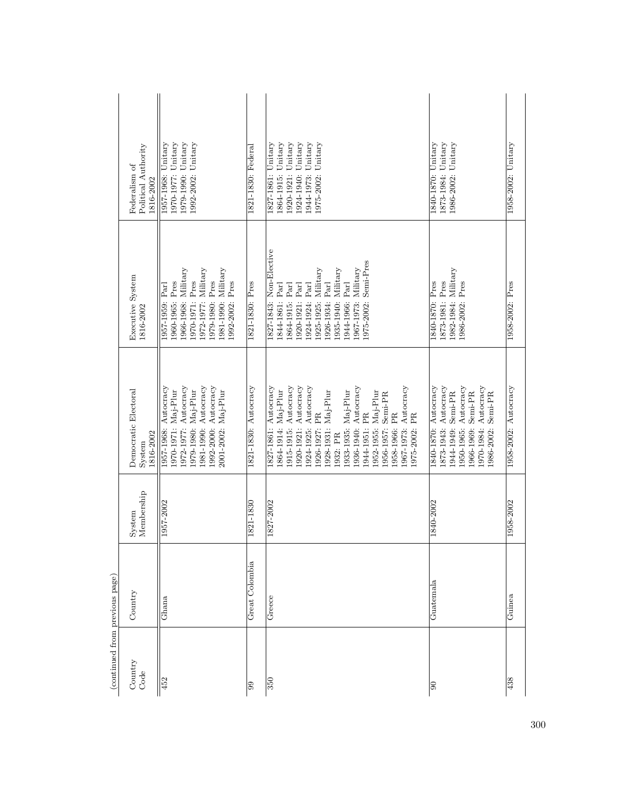| (continued from previous page) |                |                      |                                                                                                                                                                                                                                                                                                                                                            |                                                                                                                                                                                                                                             |                                                                                                                                                               |
|--------------------------------|----------------|----------------------|------------------------------------------------------------------------------------------------------------------------------------------------------------------------------------------------------------------------------------------------------------------------------------------------------------------------------------------------------------|---------------------------------------------------------------------------------------------------------------------------------------------------------------------------------------------------------------------------------------------|---------------------------------------------------------------------------------------------------------------------------------------------------------------|
| Country<br>Code                | Country        | Membership<br>System | Democratic Electoral<br>1816-2002<br>System                                                                                                                                                                                                                                                                                                                | Executive System<br>1816-2002                                                                                                                                                                                                               | Political Authority<br>Federalism of<br>1816-2002                                                                                                             |
| 452                            | Ghana          | 1957-2002            | 1981-1990: Autocracy<br>1992-2000: Autocracy<br>1972-1977: Autocracy<br>Autocracy<br>1979-1980: Maj-Plur<br>1970-1971: Maj-Plur<br>2001-2002: Maj-Plur<br>1957-1968:                                                                                                                                                                                       | 1966-1968: Military<br>1972-1977: Military<br>1981-1990: Military<br>1979-1980: Pres<br>1970-1971: Pres<br>1960-1965: Pres<br>1992-2002: Pres<br>1957-1959: Parl                                                                            | 1979-1990: Unitary<br>1992-2002: Unitary<br>1970-1977: Unitary<br>1957-1968: Unitary                                                                          |
| 99                             | Great Colombia | 1821-1830            | 1821-1830: Autocracy                                                                                                                                                                                                                                                                                                                                       | 1821-1830: Pres                                                                                                                                                                                                                             | 1821-1830: Federal                                                                                                                                            |
| $\overline{350}$               | Greece         | 1827-2002            | 1920-1921: Autocracy<br>1915-1915: Autocracy<br>1924-1925: Autocracy<br>Autocracy<br>1827-1861: Autocracy<br>Autocracy<br>1864-1914: Maj-Plur<br>1933-1935: Maj-Plur<br>1928-1931: Maj-Plur<br>1952-1955: Maj-Plur<br>Semi-PR<br>1944-1951: PR<br>1926-1927: PR<br>1958-1966: PR<br>PR<br>1967-1973:<br>1936-1940:<br>1956-1957:<br>1975-2002:<br>1932: PR | 1827-1843: Non-Elective<br>1975-2002: Semi-Pres<br>$1967 - 1973$ : Military<br>1925-1925: Military<br>1935-1940: Military<br>1944-1966: Parl<br>1926-1934: Parl<br>1844-1861: Parl<br>1864-1915: Parl<br>1920-1921: Parl<br>1924-1924: Parl | Unitary<br>1920-1921: Unitary<br>1944-1973: Unitary<br>Unitary<br>1864-1915: Unitary<br>$\overline{\text{Unitary}}$<br>1827-1861:<br>1975-2002:<br>1924-1940: |
| $\overline{6}$                 | $Guatenala$    | 1840-2002            | 1840-1870: Autocracy<br>Autocracy<br>Autocracy<br>1970-1984: Autocracy<br>Semi-PR<br>Semi-PR<br>Semi-PR<br>1950-1965:<br>1873-1943:<br>1966-1969:<br>1944-1949:<br>1986-2002:                                                                                                                                                                              | 1982-1984: Military<br>1873-1981: Pres<br>1986-2002: Pres<br>1840-1870: Pres                                                                                                                                                                | 1873-1984: Unitary<br>1840-1870: Unitary<br>Unitary<br>1986-2002:                                                                                             |
| 438                            | Guinea         | 1958-2002            | 1958-2002: Autocracy                                                                                                                                                                                                                                                                                                                                       | 1958-2002: Pres                                                                                                                                                                                                                             | 1958-2002: Unitary                                                                                                                                            |

300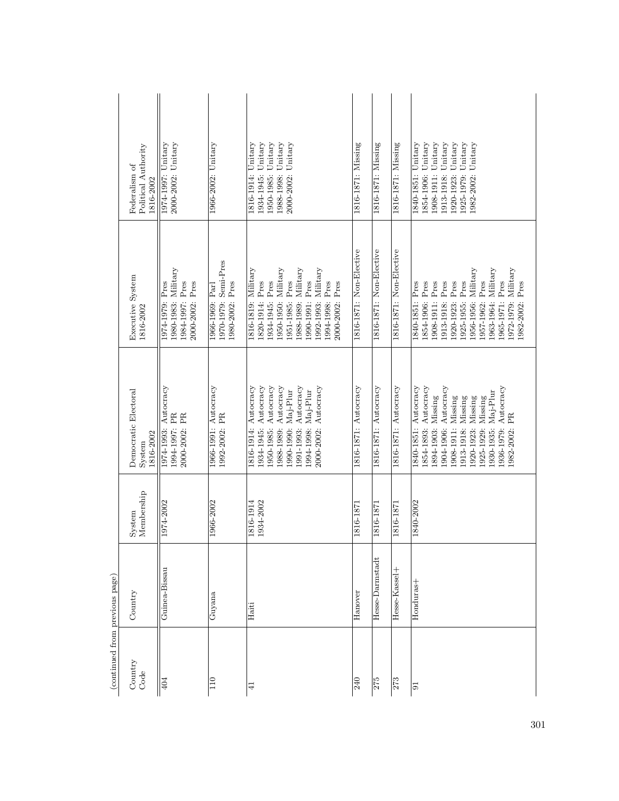| Political Authority<br>Federalism of<br>816-2002 | 2000-2002: Unitary<br>1974-1997: Unitary                                     | 1966-2002: Unitary                                         | Unitary<br>1816-1914: Unitary<br>Unitary<br>1988-1998: Unitary<br>2000-2002: Unitary<br>1950-1985:<br>1934-1945:                                                                                                                   | 1816-1871: Missing      | 1816-1871: Missing      | 1816-1871: Missing      | 1840-1851: Unitary<br>Unitary<br>1908-1911: Unitary<br>Unitary<br>Unitary<br>Unitary<br>Unitary<br>1854-1906:<br>1920-1923:<br>1913-1918:<br>1925-1979:<br>1982-2002:                                                                                                  |
|--------------------------------------------------|------------------------------------------------------------------------------|------------------------------------------------------------|------------------------------------------------------------------------------------------------------------------------------------------------------------------------------------------------------------------------------------|-------------------------|-------------------------|-------------------------|------------------------------------------------------------------------------------------------------------------------------------------------------------------------------------------------------------------------------------------------------------------------|
| Executive System<br>1816-2002                    | 1980-1983: Military<br>1974-1979: Pres<br>1984-1997: Pres<br>2000-2002: Pres | 1970-1979: Semi-Pres<br>1980-2002: Pres<br>1966-1969: Parl | 1988-1989: Military<br>$1816-1819$ : Military<br>1950-1950: Military<br>1992-1993: Military<br>Pres<br>Pres<br>1934-1945: Pres<br>Pres<br>$\rm Pres$<br>Pres<br>1951-1985:<br>1990-1991:<br>2000-2002:<br>1820-1914:<br>1994-1998: | 1816-1871: Non-Elective | 1816-1871: Non-Elective | 1816-1871: Non-Elective | 1972-1979: Military<br>Military<br>Military<br>$\rm Pres$<br>1965-1971: Pres<br>1982-2002: Pres<br>1854-1906: Pres<br>1908-1911: Pres<br>Pres<br>Pres<br>Pres<br>1840-1851: Pres<br>1963-1964:<br>1920-1923:<br>1956-1956:<br>1913-1918:<br>1925-1955:<br>1957-1962:   |
| Democratic Electoral<br>1816-2002<br>System      | Autocracy<br>1994-1997: PR<br>2000-2002: PR<br>1974-1993:                    | 1966-1991: Autocracy<br>1992-2002: PR                      | 1950-1985: Autocracy<br>1816-1914: Autocracy<br>Autocracy<br>1991-1993: Autocracy<br>Autocracy<br>2000-2002: Autocracy<br>Maj-Plur<br>1994-1998: Maj-Plur<br>1990-1990:<br>.988-1989:<br>1934-1945:                                | 1816-1871: Autocracy    | 1816-1871: Autocracy    | 1816-1871: Autocracy    | [840-1851: Autocracy<br>1854-1893: Autocracy<br>1936-1979: Autocracy<br>Autocracy<br>Maj-Plur<br>Missing<br>Missing<br>Missing<br>Missing<br>Missing<br>.982-2002: PR<br>1908-1911:<br>1930-1935:<br>1894-1903:<br>1904-1906:<br>1920-1923:<br>1925-1929:<br>913-1918: |
| Membership<br>System                             | 1974-2002                                                                    | 1966-2002                                                  | 1816-1914<br>1934-2002                                                                                                                                                                                                             | 1816-1871               | 1816-1871               | 1816-1871               | 1840-2002                                                                                                                                                                                                                                                              |
| Country                                          | Guinea-Bissau                                                                | Guyana                                                     | Haiti                                                                                                                                                                                                                              | Hanover                 | Hesse-Darmstadt         | Hesse-Kassel+           | Honduras+                                                                                                                                                                                                                                                              |
| Country<br>Code                                  | 404                                                                          | 110                                                        | $\frac{1}{4}$                                                                                                                                                                                                                      | 240                     | 275                     | 273                     | $ \overline{5} $                                                                                                                                                                                                                                                       |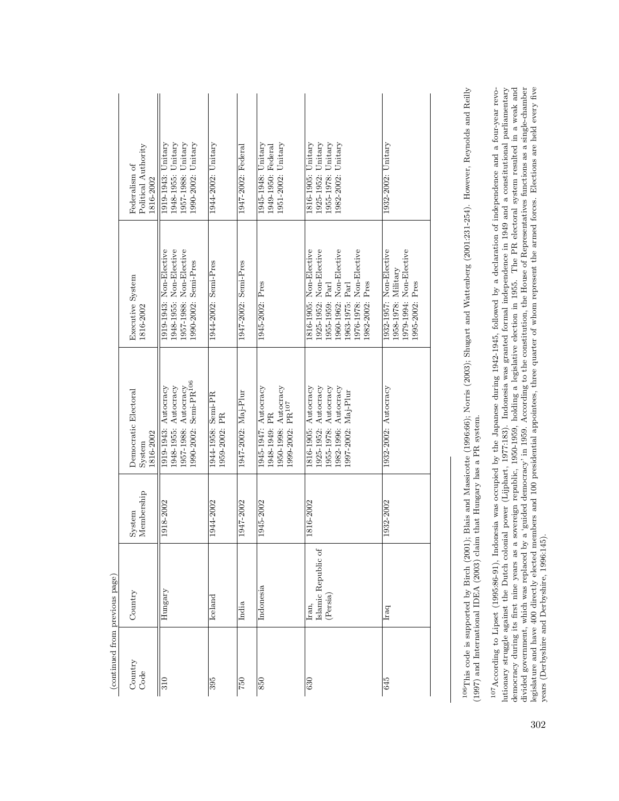| (continued from previous page) |                                          |                      |                                                                                                                     |                                                                                                                                                                   |                                                                                         |
|--------------------------------|------------------------------------------|----------------------|---------------------------------------------------------------------------------------------------------------------|-------------------------------------------------------------------------------------------------------------------------------------------------------------------|-----------------------------------------------------------------------------------------|
| Country<br>Code                | Country                                  | Membership<br>System | Democratic Electoral<br>1816-2002<br>System                                                                         | Executive System<br>1816-2002                                                                                                                                     | Political Authority<br>Federalism of<br>1816-2002                                       |
| 310                            | Hungary                                  | 1918-2002            | 1990-2002: Semi-PR <sup>106</sup><br>1948-1955: Autocracy<br>1957-1988: Autocracy<br>1919-1943: Autocracy           | 1948-1955: Non-Elective<br>1957-1988: Non-Elective<br>[919-1943: Non-Elective<br>1990-2002: Semi-Pres                                                             | 1948-1955: Unitary<br>1957-1988: Unitary<br>1990-2002: Unitary<br>1919-1943: Unitary    |
| 395                            | $I$ celand                               | 1944-2002            | 1944-1958: Semi-PR<br>1959-2002: PR                                                                                 | 1944-2002: Semi-Pres                                                                                                                                              | 1944-2002: Unitary                                                                      |
| 750                            | India                                    | 1947-2002            | 1947-2002: Maj-Plur                                                                                                 | 1947-2002: Semi-Pres                                                                                                                                              | 1947-2002: Federal                                                                      |
| 850                            | Indonesia                                | 1945-2002            | 1945-1947: Autocracy<br>1950-1998: Autocracy<br>1999-2002: PR <sup>107</sup><br>1948-1949: PR                       | 1945-2002: Pres                                                                                                                                                   | 1951-2002: Unitary<br>$1945 - 1948$ : Unitary<br>1949-1950: Federal                     |
| 630                            | Islamic Republic of<br>(Persia)<br>Iran, | 1816-2002            | 1925-1952: Autocracy<br>1955-1978: Autocracy<br>1816-1905: Autocracy<br>1982-1996: Autocracy<br>1997-2002: Maj-Plur | 1960-1962: Non-Elective<br>1816-1905: Non-Elective<br>1925-1952: Non-Elective<br>1976-1978: Non-Elective<br>1982-2002: Pres<br>1963-1975: Parl<br>[955-1959: Parl | 1955-1978: Unitary<br>1925-1952: Unitary<br>Unitary<br>1816-1905: Unitary<br>1982-2002: |
| 645                            | Iraq                                     | 1932-2002            | 1932-2002: Autocracy                                                                                                | 1979-1994: Non-Elective<br>1932-1957: Non-Elective<br>$1958-1978$ : Military<br>1995-2002: Pres                                                                   | 1932-2002: Unitary                                                                      |
|                                |                                          |                      |                                                                                                                     |                                                                                                                                                                   |                                                                                         |

<sup>106</sup>This code is supported by Birch (2001); Blais and Massicotte (1996:66); Norris (2003); Shugart and Wattenberg (2001:231-254). However, Reynolds and Reilly (1997) and International IDEA (2003) claim that Hungary has a 106This code is supported by Birch (2001); Blais and Massicotte (1996:66); Norris (2003); Shugart and Wattenberg (2001:231-254). However, Reynolds and Reilly (1997) and International IDEA (2003) claim that Hungary has a PR system. <sup>107</sup>According to Lipset (1995:86-91), Indonesia was occupied by the Japanese during 1942-1945, followed by a declaration of independence and a four-year revolutionary struggle against the Dutch colonial power (Lijphart, lutionary struggle against the Dutch colonial power (Lijphart, 1977:183). Indonesia was granted formal independence in 1949 and a constitutional parliamentary democracy during its first nine years as a sovereign republic, 1950-1959, holding a legislative election in 1955. The PR electoral system resulted in a weak and divided government, which was replaced by a 'guided democracy' in 1959. According to the constitution, the House of Representatives functions as a single-chamber legislature and have 400 directly elected members and 100 presidential appointees, three quarter of whom represent the armed forces. Elections are held every five 107According to Lipset (1995:86-91), Indonesia was occupied by the Japanese during 1942-1945, followed by a declaration of independence and a four-year revoyears (Derbyshire and Derbyshire, 1996:145).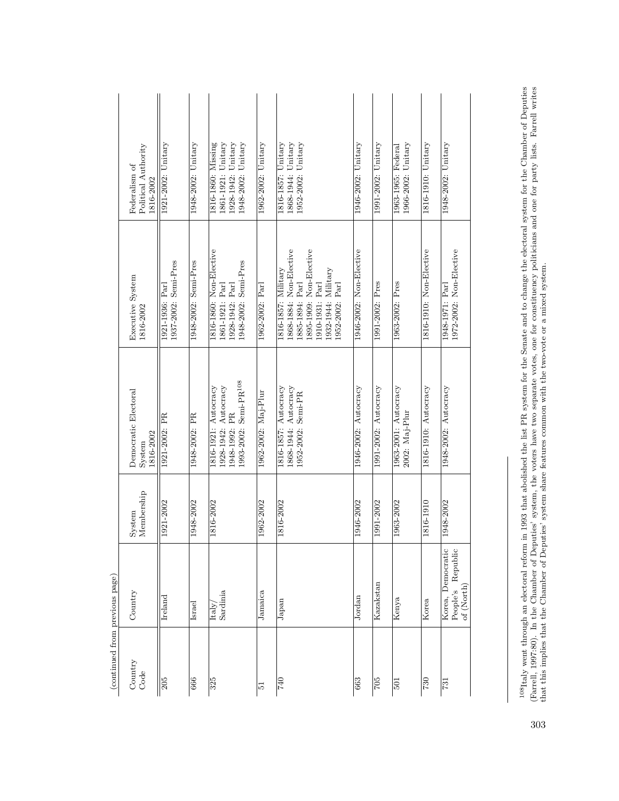|                                | Political Authority<br>Federalism of<br>1816-2002 | 1921-2002: Unitary                      | $1948-2002$ : Unitary | 1928-1942: Unitary<br>1948-2002: Unitary<br>1816-1860: Missing<br>1861-1921: Unitary               | 1962-2002: Unitary  | 1952-2002: Unitary<br>1868-1944: Unitary<br>1816-1857: Unitary                                                                                            | 1946-2002: Unitary      | 1991-2002: Unitary   | 1966-2002: Unitary<br>1963-1965: Federal | 1816-1910: Unitary      | 1948-2002: Unitary                                        |
|--------------------------------|---------------------------------------------------|-----------------------------------------|-----------------------|----------------------------------------------------------------------------------------------------|---------------------|-----------------------------------------------------------------------------------------------------------------------------------------------------------|-------------------------|----------------------|------------------------------------------|-------------------------|-----------------------------------------------------------|
|                                | Executive System<br>1816-2002                     | 1937-2002: Semi-Pres<br>1921-1936: Parl | 1948-2002: Semi-Pres  | 1816-1860: Non-Elective<br>1948-2002: Semi-Pres<br>1928-1942: Parl<br>1861-1921: Parl              | 1962-2002: Parl     | 1868-1884: Non-Elective<br>1895-1909: Non-Elective<br>1932-1944: Military<br>1816-1857: Military<br>1910-1931: Parl<br>1885-1894: Parl<br>[952-2002: Parl | 1946-2002: Non-Elective | 1991-2002: Pres      | 1963-2002: Pres                          | 1816-1910: Non-Elective | 1972-2002: Non-Elective<br>1948-1971: Parl                |
|                                | Democratic Electoral<br>1816-2002<br>System       | 1921-2002: PR                           | 1948-2002: PR         | 1993-2002: Semi-PR <sup>108</sup><br>1928-1942: Autocracy<br>1816-1921: Autocracy<br>.948-1992: PR | 1962-2002: Maj-Plur | 1816-1857: Autocracy<br>1868-1944: Autocracy<br>1952-2002: Semi-PR                                                                                        | 1946-2002: Autocracy    | 1991-2002: Autocracy | 1963-2001: Autocracy<br>2002: Maj-Plur   | 1816-1910: Autocracy    | 1948-2002: Autocracy                                      |
|                                | Membership<br>System                              | 1921-2002                               | 1948-2002             | 1816-2002                                                                                          | 1962-2002           | 1816-2002                                                                                                                                                 | 1946-2002               | 1991-2002            | 1963-2002                                | 1816-1910               | 1948-2002                                                 |
|                                | Country                                           | Ireland                                 | Israel                | Sardinia<br>$\text{Italy}/$                                                                        | Jamaica             | $_{\rm Japan}$                                                                                                                                            | Jordan                  | Kazakstan            | Kenya                                    | Korea                   | Korea, Democratic<br>Republic<br>People's<br>of $(North)$ |
| (continued from previous page) | Country<br>Code                                   | 205                                     | 666                   | 325                                                                                                | 12                  | <b>OFZ</b>                                                                                                                                                | 663                     | 705                  | 501                                      | 730                     | 731                                                       |

 $^{108}$ Italy went through an electoral reform in 1993 that abolished the list PR system for the Senate and to change the electoral system for the Chamber of Deputies (Farrell, 1997:80). In the Chamber of Deputies' system,  $^{108}$ Italy went through an electoral reform in 1993 that abolished the list PR system for the Senate and to change the electoral system for the Chamber of Deputies (Farrell, 1997:80). In the Chamber of Deputies' system, the voters have two separate votes, one for constituency politicians and one for party lists. Farrell writes that this implies that the Chamber of Deputies' system share features common with the two-vote or a mixed system.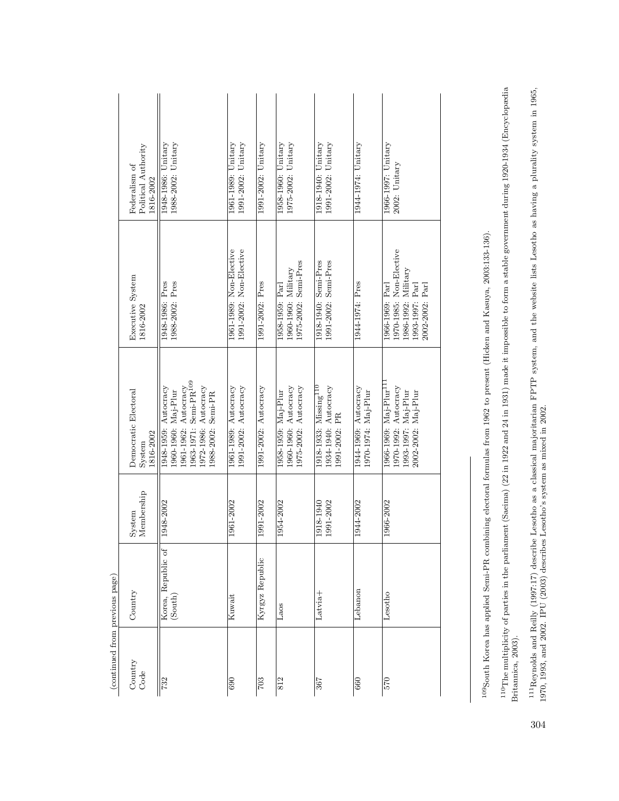|                                | Political Authority<br>Federalism of<br>1816-2002 | 1988-2002: Unitary<br>1948-1986: Unitary                                                                                                               | 1991-2002: Unitary<br>1961-1989: Unitary           | 1991-2002: Unitary   | 1958-1960: Unitary<br>1975-2002: Unitary                            | 1918-1940: Unitary<br>1991-2002: Unitary                                | 1944-1974: Unitary                          | 1966-1997: Unitary<br>2002: Unitary                                                                        |
|--------------------------------|---------------------------------------------------|--------------------------------------------------------------------------------------------------------------------------------------------------------|----------------------------------------------------|----------------------|---------------------------------------------------------------------|-------------------------------------------------------------------------|---------------------------------------------|------------------------------------------------------------------------------------------------------------|
|                                | Executive System<br>1816-2002                     | 1988-2002: Pres<br>1948-1986: Pres                                                                                                                     | 1961-1989: Non-Elective<br>1991-2002: Non-Elective | 1991-2002: Pres      | 1975-2002: Semi-Pres<br>1960-1960: Military<br>1958-1959: Parl      | 1918-1940: Semi-Pres<br>1991-2002: Semi-Pres                            | 1944-1974: Pres                             | 1970-1985: Non-Elective<br>1986-1992: Military<br>2002-2002: Parl<br>[993-1997: Parl<br>1966-1969: Parl    |
|                                | Democratic Electoral<br>1816-2002<br>System       | .963-1971: Semi-PR <sup>109</sup><br>1961-1962: Autocracy<br>.972-1986: Autocracy<br>1948-1959: Autocracy<br>1960-1960: Maj-Plur<br>1988-2002: Semi-PR | 1991-2002: Autocracy<br>1961-1989: Autocracy       | 1991-2002: Autocracy | 1960-1960: Autocracy<br>1975-2002: Autocracy<br>1958-1959: Maj-Plur | $1918$ -1933: Missing $^{110}$<br>1934-1940: Autocracy<br>1991-2002: PR | 1944-1969: Autocracy<br>1970-1974: Maj-Plur | 1966-1969: Maj-Plur <sup>11</sup><br>1970-1992: Autocracy<br>.993-1997: Maj-Plur<br>Maj-Plur<br>2002-2002: |
|                                | Membership<br>System                              | 1948-2002                                                                                                                                              | 1961-2002                                          | 1991-2002            | 1954-2002                                                           | 1918-1940<br>1991-2002                                                  | 1944-2002                                   | 1966-2002                                                                                                  |
|                                | Country                                           | Korea, Republic of<br>(South)                                                                                                                          | Kuwait                                             | Kyrgyz Republic      | Laos                                                                | Latvia <sup>+</sup>                                                     | Lebanon                                     | Lesotho                                                                                                    |
| (continued from previous page) | Country<br>Code                                   | 732                                                                                                                                                    | $\overline{690}$                                   | $\overline{703}$     | 812                                                                 | 367                                                                     | 660                                         | 570                                                                                                        |

<sup>109</sup>South Korea has applied Semi-PR combining electoral formulas from 1962 to present (Hicken and Kasuya, 2003:133-136). 109South Korea has applied Semi-PR combining electoral formulas from 1962 to present (Hicken and Kasuya, 2003:133-136).

 $^{110}$ The multiplicity of parties in the parliament (Saeima) (22 in 1922 and 24 in 1931) made it impossible to form a stable government during 1920-1934 (Encyclopædia<br>Britannica, 2003).  $^{110}$ The multiplicity of parties in the parliament (Saeima) (22 in 1922 and 24 in 1931) made it impossible to form a stable government during 1920-1934 (Encyclopædia Britannica, 2003).

 $^{111}\text{Reynolds}$  and Reilly (1997:17) describe Lesotho as a classical majoritarian FPTP system, and the website lists Lesotho as having a plurality system in 1965, 1970, 1993, and 2002. IPU (2003) describes Lesotho's system 111Reynolds and Reilly (1997:17) describe Lesotho as a classical majoritarian FPTP system, and the website lists Lesotho as having a plurality system in 1965, 1970, 1993, and 2002. IPU (2003) describes Lesotho's system as mixed in 2002.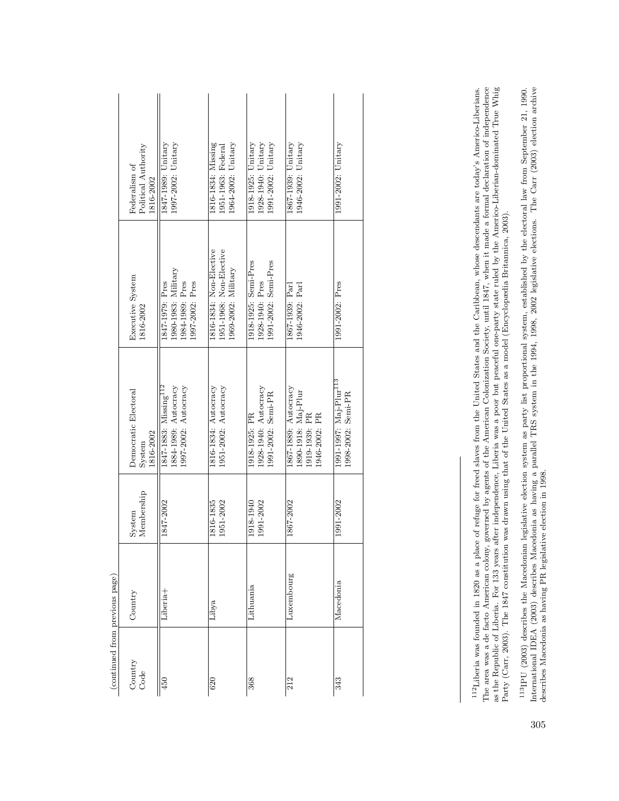| (continued from previous page) |            |                        |                                                                                   |                                                                              |                                                                |
|--------------------------------|------------|------------------------|-----------------------------------------------------------------------------------|------------------------------------------------------------------------------|----------------------------------------------------------------|
| Country<br>Code                | Country    | Membership<br>System   | Democratic Electoral<br>1816-2002<br>System                                       | Executive System<br>1816-2002                                                | Political Authority<br>Federalism of<br>1816-2002              |
| 450                            | Liberia+   | 1847-2002              | 1847-1883: Missing <sup>112</sup><br>1884-1989: Autocracy<br>1997-2002: Autocracy | 1980-1983: Military<br>1984-1989: Pres<br>1847-1979: Pres<br>1997-2002: Pres | 1997-2002: Unitary<br>1847-1989: Unitary                       |
| 620                            | Libya      | 1816-1835<br>1951-2002 | 1816-1834: Autocracy<br>1951-2002: Autocracy                                      | 1816-1834: Non-Elective<br>1951-1968: Non-Elective<br>1969-2002: Military    | 1816-1834: Missing<br>1964-2002: Unitary<br>1951-1963: Federal |
| 368                            | Lithuania  | 1918-1940<br>1991-2002 | 1928-1940: Autocracy<br>1991-2002: Semi-PR<br>1918-1925: PR                       | 1918-1925: Semi-Pres<br>1991-2002: Semi-Pres<br>1928-1940: Pres              | 1928-1940: Unitary<br>1991-2002: Unitary<br>1918-1925: Unitary |
| 212                            | Luxembourg | 1867-2002              | 1867-1889: Autocracy<br>1890-1918: Maj-Plur<br>1919-1939: PR<br>1946-2002: PR     | 1867-1939: Parl<br>1946-2002: Parl                                           | 1946-2002: Unitary<br>1867-1939: Unitary                       |
| 343                            | Macedonia  | 1991-2002              | 1991-1997: Maj-Plur <sup>113</sup><br>1998-2002: Semi-PR                          | 1991-2002: Pres                                                              | 1991-2002: Unitary                                             |

<sup>112</sup>Liberia was founded in 1820 as a place of refuge for freed slaves from the United States and the Caribbean, whose descendants are today's Americo-Liberians.<br>The area was a de facto American colony, governed by agents The area was a de facto American colony, governed by agents of the American Colonization Society, until 1847, when it made a formal declaration of independence as the Republic of Liberia. For 133 years after independence, Liberia was a poor but peaceful one-party state ruled by the Americo-Liberian-dominated True Whig 112Liberia was founded in 1820 as a place of refuge for freed slaves from the United States and the Caribbean, whose descendants are today's Americo-Liberians. Party (Carr, 2003). The 1847 constitution was drawn using that of the United States as a model (Encyclopædia Britannica, 2003). Party (Carr, 2003). The 1847 constitution was drawn using that of the United States as a model (Encyclopædia Britannica, 2003).

 $^{113}\rm{PU}$  (2003) describes the Macedonian legislative election system as party list proportional system, established by the electoral law from September 21, 1990. International IDEA (2003) describes Macedonia as having International IDEA (2003) describes Macedonia as having a parallel TRS system in the 1994, 1998, 2002 legislative elections. The Carr (2003) election archive  $^{113}$  PU (2003) describes the Macedonian legislative election system as party list proportional system, established by the electoral law from September 21, 1990. describes Macedonia as having PR legislative election in 1998.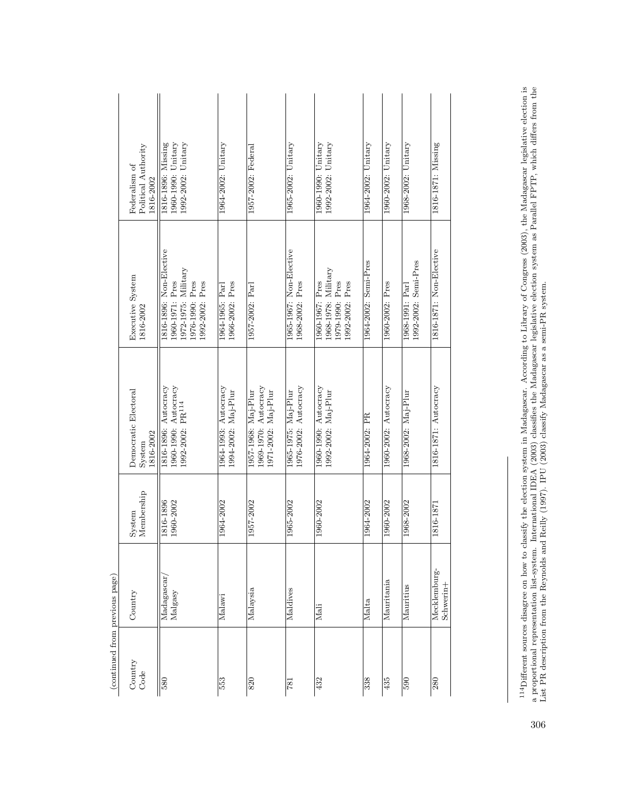|                                | Political Authority<br>Federalism of<br>1816-2002             | 1992-2002: Unitary<br>1960-1990: Unitary<br>1816-1896: Missing                                               | 1964-2002: Unitary                          | 1957-2002: Federal                                                 | $1965 - 2002$ : Unitary                     | $1992-2002$ : Unitary<br>1960-1990: Unitary                                  | 1964-2002: Unitary   | $1960-2002$ : Unitary | 1968-2002: Unitary                      | 1816-1871: Missing        |
|--------------------------------|---------------------------------------------------------------|--------------------------------------------------------------------------------------------------------------|---------------------------------------------|--------------------------------------------------------------------|---------------------------------------------|------------------------------------------------------------------------------|----------------------|-----------------------|-----------------------------------------|---------------------------|
|                                | Executive System<br>1816-2002                                 | 1816-1896: Non-Elective<br>$1972 - 1975$ : Military<br>1960-1971: Pres<br>1976-1990: Pres<br>1992-2002: Pres | 1966-2002: Pres<br>1964-1965: Parl          | 1957-2002: Parl                                                    | 1965-1967: Non-Elective<br>1968-2002: Pres  | 1968-1978: Military<br>1979-1990: Pres<br>1992-2002: Pres<br>1960-1967: Pres | 1964-2002: Semi-Pres | 1960-2002: Pres       | 1992-2002: Semi-Pres<br>1968-1991: Parl | 1816-1871: Non-Elective   |
|                                | Democratic Electoral<br>1816-2002<br>System                   | 1816-1896: Autocracy<br>1960-1990: Autocracy<br>1992-2002: PR <sup>114</sup>                                 | 1964-1993: Autocracy<br>1994-2002: Maj-Plur | 1969-1970: Autocracy<br>1957-1968: Maj-Plur<br>1971-2002: Maj-Plur | 1976-2002: Autocracy<br>1965-1975: Maj-Plur | 1960-1990: Autocracy<br>1992-2002: Maj-Plur                                  | 1964-2002: PR        | 1960-2002: Autocracy  | 1968-2002: Maj-Plur                     | 1816-1871: Autocracy      |
|                                | Membership<br>System                                          | 1816-1896<br>1960-2002                                                                                       | 1964-2002                                   | 1957-2002                                                          | 1965-2002                                   | 1960-2002                                                                    | 1964-2002            | 1960-2002             | 1968-2002                               | 1816-1871                 |
|                                | Country                                                       | Madagascar,<br>$_{\rm Malgasy}$                                                                              | Malawi                                      | Malaysia                                                           | Maldives                                    | Mali                                                                         | Malta                | Mauritania            | Mauritius                               | Mecklemburg-<br>Schwerin+ |
| (continued from previous page) | $\begin{array}{ll} \text{Country} \\ \text{Code} \end{array}$ | $\overline{580}$                                                                                             | 553                                         | 820                                                                | <b>781</b>                                  | 432                                                                          | 338                  | 435                   | 590                                     | 280                       |

 $^{114}\rm{Different}$  sources disagree on how to classify the election system in Madagascar. According to Library of Congress (2003), the Madagascar legislative election is a proportional representation list-system. International I  $^{114}$ Different sources disagree on how to classify the election system in Madagascar. According to Library of Congress (2003), the Madagascar legislative election is a proportional representation list-system. International IDEA (2003) classifies the Madagascar legislative election system as Parallel FPTP, which differs from the List PR description from the Reynolds and Reilly (1997). IPU (2003) classify Madagascar as a semi-PR system.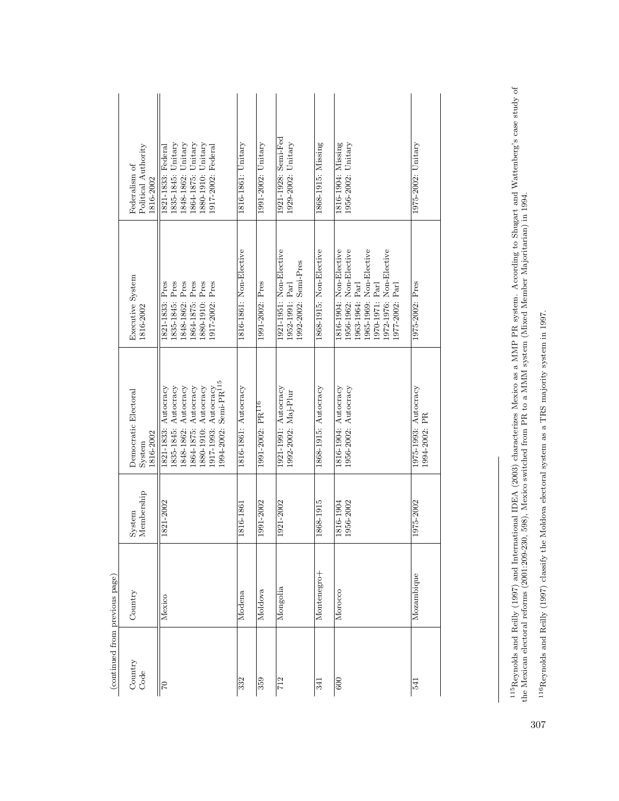| (continued from previous page) |             |                        |                                                                                                                                                                                   |                                                                                                                                                                   |                                                                                                                                     |
|--------------------------------|-------------|------------------------|-----------------------------------------------------------------------------------------------------------------------------------------------------------------------------------|-------------------------------------------------------------------------------------------------------------------------------------------------------------------|-------------------------------------------------------------------------------------------------------------------------------------|
| Country<br>Code                | Country     | Membership<br>System   | Democratic Electoral<br>1816-2002<br>System                                                                                                                                       | Executive System<br>1816-2002                                                                                                                                     | Political Authority<br>Federalism of<br>1816-2002                                                                                   |
| 01                             | Mexico      | 1821-2002              | .994-2002: Semi-PR <sup>115</sup><br>1848-1862: Autocracy<br>1880-1910: Autocracy<br>1835-1845: Autocracy<br>1864-1875: Autocracy<br>1821-1833: Autocracy<br>1917-1993: Autocracy | 1835-1845: Pres<br>1848-1862: Pres<br>1864-1875: Pres<br>1880-1910: Pres<br>1917-2002: Pres<br>1821-1833: Pres                                                    | Unitary<br>1835-1845: Unitary<br>1864-1875: Unitary<br>1880-1910: Unitary<br>1917-2002: Federal<br>1821-1833: Federal<br>1848-1862: |
| 332                            | Modena      | 1816-1861              | 1816-1861: Autocracy                                                                                                                                                              | 1816-1861: Non-Elective                                                                                                                                           | $1816 - 1861$ : Unitary                                                                                                             |
| 359                            | Moldova     | 1991-2002              | 1991-2002: PR <sup>116</sup>                                                                                                                                                      | 1991-2002: Pres                                                                                                                                                   | 1991-2002: Unitary                                                                                                                  |
| 712                            | Mongolia    | 1921-2002              | 1921-1991: Autocracy<br>1992-2002: Maj-Plur                                                                                                                                       | 1921-1951: Non-Elective<br>1992-2002: Semi-Pres<br>1952-1991: Parl                                                                                                | 1921-1928: Semi-Fed<br>1929-2002: Unitary                                                                                           |
| 341                            | Montenegro+ | 1868-1915              | 1868-1915: Autocracy                                                                                                                                                              | 1868-1915: Non-Elective                                                                                                                                           | 1868-1915: Missing                                                                                                                  |
| $\overline{600}$               | Morocco     | 1956-2002<br>1816-1904 | 1956-2002: Autocracy<br>1816-1904: Autocracy                                                                                                                                      | 1965-1969: Non-Elective<br>I816-1904: Non-Elective<br>1956-1962: Non-Elective<br>1972-1976: Non-Elective<br>[970-1971: Parl<br>1977-2002: Parl<br>1963-1964: Parl | 1816-1904: Missing<br>$1956 - 2002$ : Unitary                                                                                       |
| 541                            | Mozambique  | 1975-2002              | 1975-1993: Autocracy<br>1994-2002: PR                                                                                                                                             | 1975-2002: Pres                                                                                                                                                   | 1975-2002: Unitary                                                                                                                  |
|                                |             |                        |                                                                                                                                                                                   |                                                                                                                                                                   |                                                                                                                                     |

 $^{115}$  Reynolds and Reilly (1997) and International IDEA (2003) characterizes Mexico as a MMP PR system. According to Shugart and Wattenberg's case study of the Mexican electoral reforms (2001:209-230, 598), Mexico switc 115Reynolds and Reilly (1997) and International IDEA (2003) characterizes Mexico as a MMP PR system. According to Shugart and Wattenberg's case study of the Mexican electoral reforms (2001:209-230, 598), Mexico switched from PR to a MMM system (Mixed Member Majoritarian) in 1994.

 $^{116}\mathrm{Reynolds}$  and Reilly (1997) classify the Moldova electoral system as a TRS majority system in 1997. 116Reynolds and Reilly (1997) classify the Moldova electoral system as a TRS majority system in 1997.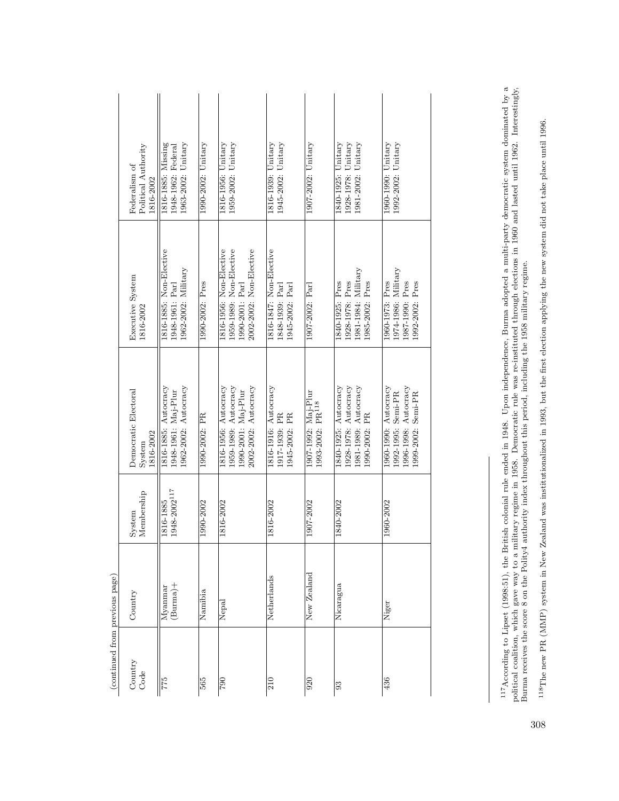| (continued from previous page) |                    |                                        |                                                                                             |                                                                                                  |                                                                |
|--------------------------------|--------------------|----------------------------------------|---------------------------------------------------------------------------------------------|--------------------------------------------------------------------------------------------------|----------------------------------------------------------------|
| Country<br>Code                | Country            | Membership<br>System                   | Democratic Electoral<br>1816-2002<br>System                                                 | Executive System<br>1816-2002                                                                    | Political Authority<br>Federalism of<br>1816-2002              |
| <b>544</b>                     | (Burna)<br>Myanmar | $1948\text{--}2002^{117}$<br>1816-1885 | 1962-2002: Autocracy<br>1816-1885: Autocracy<br>1948-1961: Maj-Plur                         | 1816-1885: Non-Elective<br>1962-2002: Military<br>1948-1961: Parl                                | 1963-2002: Unitary<br>1816-1885: Missing<br>1948-1962: Federal |
| 565                            | Namibia            | 1990-2002                              | 1990-2002: PR                                                                               | 1990-2002: Pres                                                                                  | $1990-2002$ : Unitary                                          |
| $\frac{062}{2}$                | Nepal              | 1816-2002                              | 1816-1956: Autocracy<br>1959-1989: Autocracy<br>2002-2002: Autocracy<br>1990-2001: Maj-Plur | 2002-2002: Non-Elective<br>1959-1989: Non-Elective<br>1816-1956: Non-Elective<br>.990-2001: Parl | $1959-2002$ : Unitary<br>1816-1956: Unitary                    |
| $\frac{10}{2}$                 | Netherlands        | 1816-2002                              | 1816-1916: Autocracy<br>1917-1939: PR<br>1945-2002: PR                                      | 1816-1847: Non-Elective<br>1945-2002: Parl<br>1848-1939: Parl                                    | $1945 - 2002$ : Unitary<br>1816-1939: Unitary                  |
| $\overline{920}$               | New Zealand        | 1907-2002                              | 1907-1992: Maj-Plur<br>1993-2002: PR <sup>118</sup>                                         | 1907-2002: Parl                                                                                  | 1907-2002: Unitary                                             |
| $\overline{93}$                | Nicaragua          | 1840-2002                              | 1928-1978: Autocracy<br>1840-1925: Autocracy<br>1981-1989: Autocracy<br>1990-2002: PR       | 1981-1984: Military<br>1928-1978: Pres<br>1985-2002: Pres<br>1840-1925: Pres                     | 1928-1978: Unitary<br>1981-2002: Unitary<br>1840-1925: Unitary |
| 436                            | Niger              | 1960-2002                              | 1960-1990: Autocracy<br>1996-1998: Autocracy<br>1992-1995: Semi-PR<br>1999-2002: Semi-PR    | 1974-1986: Military<br>1987-1990: Pres<br>1960-1973: Pres<br>1992-2002: Pres                     | 1992-2002: Unitary<br>1960-1990: Unitary                       |
|                                |                    |                                        |                                                                                             |                                                                                                  |                                                                |

<sup>117</sup>According to Lipset (1998:51), the British colonial rule ended in 1948. Upon independence, Burma adopted a multi-party democratic system dominated by a political coalition, which gave way to a military regime in 1958 117According to Lipset (1998:51), the British colonial rule ended in 1948. Upon independence, Burma adopted a multi-party democratic system dominated by a political coalition, which gave way to a military regime in 1958. Democratic rule was re-instituted through elections in 1960 and lasted until 1962. Interestingly, Burma receives the score 8 on the Polity4 authority index throughout this period, including the 1958 military regime.

 $^{118}$ The new PR (MMP) system in New Zealand was institutionalized in 1993, but the first election applying the new system did not take place until 1996. 118The new PR (MMP) system in New Zealand was institutionalized in 1993, but the first election applying the new system did not take place until 1996.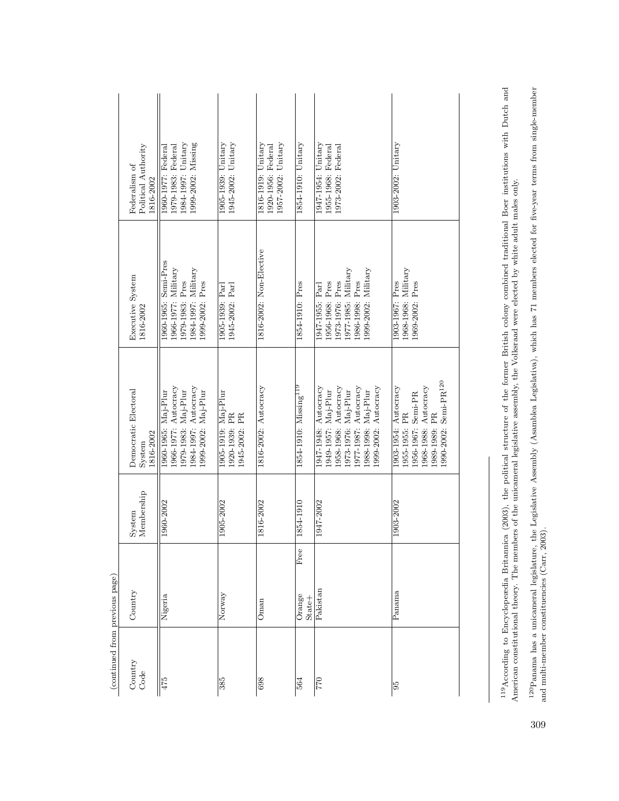|                                | Political Authority<br>Federalism of<br>1816-2002 | 1999-2002: Missing<br>1984-1997: Unitary<br>1979-1983: Federal<br>1960-1977: Federal                              | 1905-1939: Unitary<br>$1945 - 2002$ : Unitary         | 1816-1919: Unitary<br>$1957 - 2002$ : Unitary<br>1920-1956: Federal | $1854-1910$ : Unitary             | 1947-1954: Unitary<br>1955-1968: Federal<br>973-2002: Federal                                                                                                   | $1903-2002$ : Unitary                                                                                                                              |
|--------------------------------|---------------------------------------------------|-------------------------------------------------------------------------------------------------------------------|-------------------------------------------------------|---------------------------------------------------------------------|-----------------------------------|-----------------------------------------------------------------------------------------------------------------------------------------------------------------|----------------------------------------------------------------------------------------------------------------------------------------------------|
|                                | Executive System<br>1816-2002                     | Semi-Pres<br>1966-1977: Military<br>$1984-1997$ : Military<br>1979-1983: Pres<br>1999-2002: Pres<br>1960-1965:    | 1945-2002: Parl<br>1905-1939: Parl                    | 1816-2002: Non-Elective                                             | 1854-1910: Pres                   | 1977-1985: Military<br>.999-2002: Military<br>986-1998: Pres<br>1973-1976: Pres<br>1956-1968: Pres<br>1947-1955: Parl                                           | 1968-1968: Military<br>1903-1967: Pres<br>969-2002: Pres                                                                                           |
|                                | Democratic Electoral<br>1816-2002<br>System       | .984-1997: Autocracy<br>1966-1977: Autocracy<br>.979-1983: Maj-Plur<br>.999-2002: Maj-Plur<br>1960-1965: Maj-Plur | 1905-1919: Maj-Plur<br>1920-1939: PR<br>1945-2002: PR | 1816-2002: Autocracy                                                | 1854-1910: Missing <sup>119</sup> | 1947-1948: Autocracy<br>1958-1968: Autocracy<br>977-1987: Autocracy<br>999-2002: Autocracy<br>.973-1976: Maj-Plur<br>.988-1998: Maj-Plur<br>1949-1957: Maj-Plur | ${\rm Semi\text{-}PR^{120}}$<br>1968-1988: Autocracy<br>1903-1954: Autocracy<br>1956-1967: Semi-PR<br>.989-1989: PR<br>1955-1955: PR<br>.990-2002: |
|                                | Membership<br>System                              | 1960-2002                                                                                                         | 1905-2002                                             | 1816-2002                                                           | 1854-1910                         | 1947-2002                                                                                                                                                       | 1903-2002                                                                                                                                          |
|                                | Country                                           | Nigeria                                                                                                           | Norway                                                | Oman                                                                | Free<br>Orange<br>$State+$        | Pakistan                                                                                                                                                        | Panama                                                                                                                                             |
| (continued from previous page) | Country<br>Code                                   | $\frac{475}{4}$                                                                                                   | 385                                                   | 698                                                                 | 564                               | <b>0</b> 44                                                                                                                                                     | 95                                                                                                                                                 |

 $^{119}$ According to Encyclopeædia Britannica (2003), the political structure of the former British colony combined traditional Boer institutions with Dutch and American constitutional theory. The members of the unicameral 119According to Encyclopeædia Britannica (2003), the political structure of the former British colony combined traditional Boer institutions with Dutch and American constitutional theory. The members of the unicameral legislative assembly, the Volksraad were elected by white adult males only.

 $^{120}\rm{Panama}$  has a unicameral legislature, the Legislative Assembly (Asamblea Legislativa), which has 71 members elected for five-year terms from single-member and multi-member constituencies (Carr, 2003). 120Panama has a unicameral legislature, the Legislative Assembly (Asamblea Legislativa), which has 71 members elected for five-year terms from single-member and multi-member constituencies (Carr, 2003).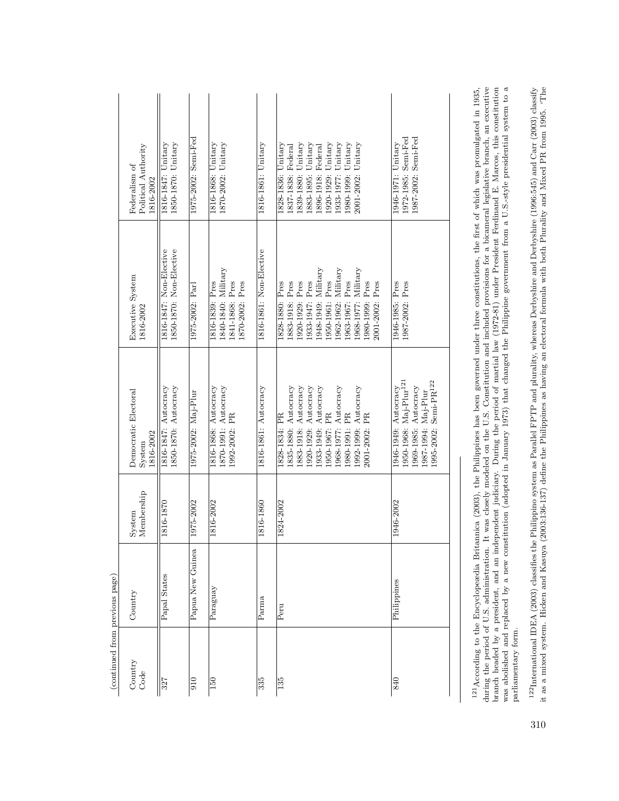|                                | Political Authority<br>Federalism of<br>816-2002 | 1850-1870: Unitary<br>1816-1847: Unitary           | 1975-2002: Semi-Fed | 1870-2002: Unitary<br>1816-1868: Unitary                                    | 1816-1861: Unitary      | 1972-1985: Semi-Fed<br>1987-2002: Semi-Fed<br>1946-1971: Unitary<br>1839-1880: Unitary<br>1883-1895: Unitary<br>1920-1929: Unitary<br>1933-1977: Unitary<br>1980-1999: Unitary<br>2001-2002: Unitary<br>1828-1836: Unitary<br>1837-1838: Federal<br>1896-1918: Federal                                                                                          |
|--------------------------------|--------------------------------------------------|----------------------------------------------------|---------------------|-----------------------------------------------------------------------------|-------------------------|-----------------------------------------------------------------------------------------------------------------------------------------------------------------------------------------------------------------------------------------------------------------------------------------------------------------------------------------------------------------|
|                                | Executive System<br>1816-2002                    | 1850-1870: Non-Elective<br>1816-1847: Non-Elective | 1975-2002: Parl     | 1840-1840: Military<br>1816-1839: Pres<br>841-1868: Pres<br>1870-2002: Pres | 1816-1861: Non-Elective | 1948-1949: Military<br>1962-1962: Military<br>.968-1977: Military<br>.963-1967: Pres<br>950-1961: Pres<br>1933-1947: Pres<br>883-1918: Pres<br>1920-1929: Pres<br>2001-2002: Pres<br>1987-2002: Pres<br>980-1999: Pres<br>1946-1985: Pres<br>1828-1880: Pres                                                                                                    |
|                                | Democratic Electoral<br>1816-2002<br>System      | 1816-1847: Autocracy<br>1850-1870: Autocracy       | 1975-2002: Maj-Plur | 1816-1868: Autocracy<br>1870-1991: Autocracy<br>1992-2002: PR               | 1816-1861: Autocracy    | 1950-1968: Maj-Plur <sup>121</sup><br>1995-2002: Semi-PR <sup>122</sup><br>1920-1929: Autocracy<br>1946-1949: Autocracy<br>835-1880: Autocracy<br>883-1918: Autocracy<br>.933-1949: Autocracy<br>.968-1977: Autocracy<br>.969-1985: Autocracy<br>1992-1999: Autocracy<br>.987-1994: Maj-Plur<br>.950-1967: PR<br>980-1991: PR<br>2001-2002: PR<br>1828-1834: PR |
|                                | Membership<br>System                             | 1816-1870                                          | 1975-2002           | 1816-2002                                                                   | 1816-1860               | 1824-2002<br>1946-2002                                                                                                                                                                                                                                                                                                                                          |
|                                | Country                                          | Papal States                                       | Papua New Guinea    | Paraguay                                                                    | Parma                   | Philippines<br>Peru                                                                                                                                                                                                                                                                                                                                             |
| (continued from previous page) | Country<br>Code                                  | 327                                                | $\frac{0}{10}$      | 150                                                                         | 335                     | 135<br>840                                                                                                                                                                                                                                                                                                                                                      |

 $^{121}$ According to the Encyclopeædia Britannica (2003), the Philippines has been governed under three constitutions, the first of which was promulgated in 1935, during the period of U.S. administration. It was closely mo was abolished and replaced by a new constitution (adopted in January 1973) that changed the Philippine government from a U.S.-style presidential system to a was abolished and replaced by a new constitution (adopted in January 1973) that changed the Philippine government from a U.S.-style presidential system to a during the period of U.S. administration. It was closely modeled on the U.S. Constitution and included provisions for a bicameral legislative branch, an executive branch headed by a president, and an independent judiciary. During the period of martial law (1972-81) under President Ferdinand E. Marcos, this constitution 121According to the Encyclopeædia Britannica (2003), the Philippines has been governed under three constitutions, the first of which was promulgated in 1935, parliamentary form. parliamentary form.

 $^{122}$ International IDEA (2003) classifies the Philippino system as Parallel FPTP and plurality, whereas Derbyshire and Derbyshire (1996:545) and Carr (2003) classify it as a mixed system. Hicken and Kasuya (2003:136-137 122International IDEA (2003) classifies the Philippino system as Parallel FPTP and plurality, whereas Derbyshire and Derbyshire (1996:545) and Carr (2003) classify it as a mixed system. Hicken and Kasuya (2003:136-137) define the Philippines as having an electoral formula with both Plurality and Mixed PR from 1995. 'The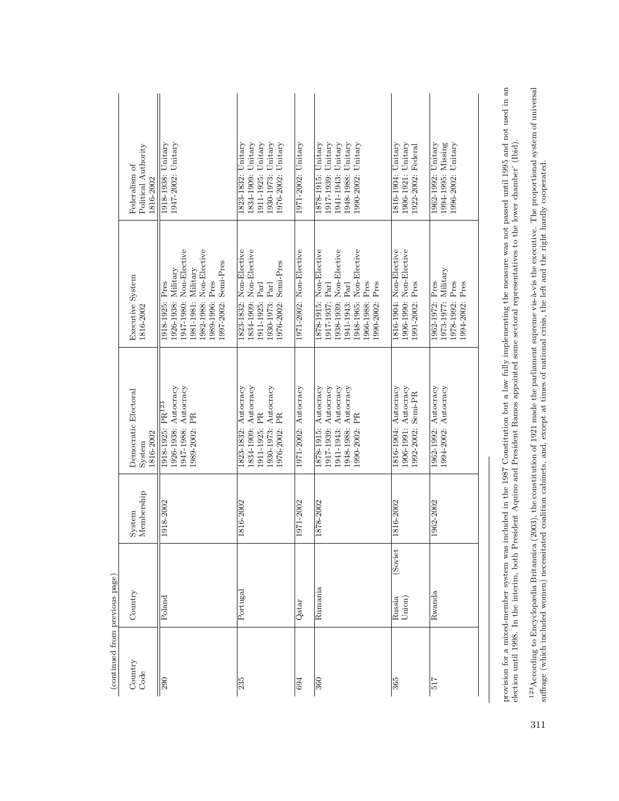| 1973-1977: Military<br>1991-2002: Pres<br>1978-1992: Pres<br>.990-2002: Pres<br>1962-1972: Pres<br>1966-1988: Pres<br>1917-1937: Parl<br>1941-1943: Parl<br>1941-1943: Autocracy<br>1948-1988: Autocracy<br>1878-1915: Autocracy<br>1917-1939: Autocracy<br>1962-1992: Autocracy<br>1994-2002: Autocracy<br>1971-2002: Autocracy<br>1816-1904: Autocracy<br>1906-1991: Autocracy<br>1992-2002: Semi-PR<br>1990-2002: PR<br>1971-2002<br>1878-2002<br>1816-2002<br>1962-2002<br>(Soviet<br>Rumania<br>Rwanda<br>Union)<br>Russia<br>Qatar | Country<br>Code | (continued from previous page)<br>Portugal<br>Country<br>Poland | Membership<br>1918-2002<br>1816-2002<br>System | 1823-1832: Autocracy<br>Autocracy<br>1926-1938: Autocracy<br>1947-1988: Autocracy<br>1930-1973: Autocracy<br>Democratic Electoral<br>1918-1925: PR <sup>123</sup><br>1989-2002: PR<br>1911-1925: PR<br>$\mathbf{PR}$<br>1834-1909:<br>1976-2002:<br>1816-2002<br>S <sub>ystem</sub> | 1947-1980: Non-Elective<br>1982-1988: Non-Elective<br>1834-1909: Non-Elective<br>1823-1832: Non-Elective<br>976-2002: Semi-Pres<br>997-2002: Semi-Pres<br>$1926-1938$ : Military<br>$1981-1981:$ Military<br>Executive System<br>.989-1996: Pres<br>1918-1925: Pres<br>1930-1973: Parl<br>1911-1925: Parl<br>816-2002 | Unitary<br>1823-1832: Unitary<br>Unitary<br>Unitary<br>$1947-2002$ : Unitary<br>Unitary<br>Unitary<br>Political Authority<br>Federalism of<br>1918-1938:<br>1911-1925:<br>1834-1909:<br>1930-1973:<br>1976-2002:<br>1816-2002 |
|------------------------------------------------------------------------------------------------------------------------------------------------------------------------------------------------------------------------------------------------------------------------------------------------------------------------------------------------------------------------------------------------------------------------------------------------------------------------------------------------------------------------------------------|-----------------|-----------------------------------------------------------------|------------------------------------------------|-------------------------------------------------------------------------------------------------------------------------------------------------------------------------------------------------------------------------------------------------------------------------------------|-----------------------------------------------------------------------------------------------------------------------------------------------------------------------------------------------------------------------------------------------------------------------------------------------------------------------|-------------------------------------------------------------------------------------------------------------------------------------------------------------------------------------------------------------------------------|
|                                                                                                                                                                                                                                                                                                                                                                                                                                                                                                                                          |                 |                                                                 |                                                |                                                                                                                                                                                                                                                                                     | 1971-2002: Non-Elective                                                                                                                                                                                                                                                                                               | 1971-2002: Unitary                                                                                                                                                                                                            |
|                                                                                                                                                                                                                                                                                                                                                                                                                                                                                                                                          |                 |                                                                 |                                                |                                                                                                                                                                                                                                                                                     | I878-1915: Non-Elective<br>1938-1939: Non-Elective<br>1948-1965: Non-Elective                                                                                                                                                                                                                                         | 1948-1988: Unitary<br>1917-1939: Unitary<br>Unitary<br>1990-2002: Unitary<br>1878-1915: Unitary<br>1941-1943:                                                                                                                 |
|                                                                                                                                                                                                                                                                                                                                                                                                                                                                                                                                          |                 |                                                                 |                                                |                                                                                                                                                                                                                                                                                     | 1906-1990: Non-Elective<br>1816-1904: Non-Elective                                                                                                                                                                                                                                                                    | 1906-1921: Unitary<br>1816-1904: Unitary<br>1922-2002: Federal                                                                                                                                                                |
|                                                                                                                                                                                                                                                                                                                                                                                                                                                                                                                                          |                 |                                                                 |                                                |                                                                                                                                                                                                                                                                                     | 1994-2002: Pres                                                                                                                                                                                                                                                                                                       | 1994-1995: Missing<br>1996-2002: Unitary<br>1962-1992: Unitary                                                                                                                                                                |

provision for a mixed-member system was included in the 1987 Constitution but a law fully implementing the measure was not passed until 1995 and not used in an election until 1998. In the interim, both President Aquino and provision for a mixed-member system was included in the 1987 Constitution but a law fully implementing the measure was not passed until 1995 and not used in an election until 1998. In the interim, both President Aquino and President Ramos appointed some sectoral representatives to the lower chamber' (Ibid).

 $^{123}\text{According to Encyclopedia Britannica (2003), the constitution of 1921 made the parlament supernen vis-à-vis the executive. The proportional system of universal suffrage (which included women) necessitated coalition calition exhibits, and, except at times of national crisis, the left and the right hardly cooperated.$  $^{123}$  According to Encyclopædia Britannica ( $2003$ ), the constitution of 1921 made the parliament supreme vis-à-vis the executive. The proportional system of universal suffrage (which included women) necessitated coalition cabinets, and, except at times of national crisis, the left and the right hardly cooperated.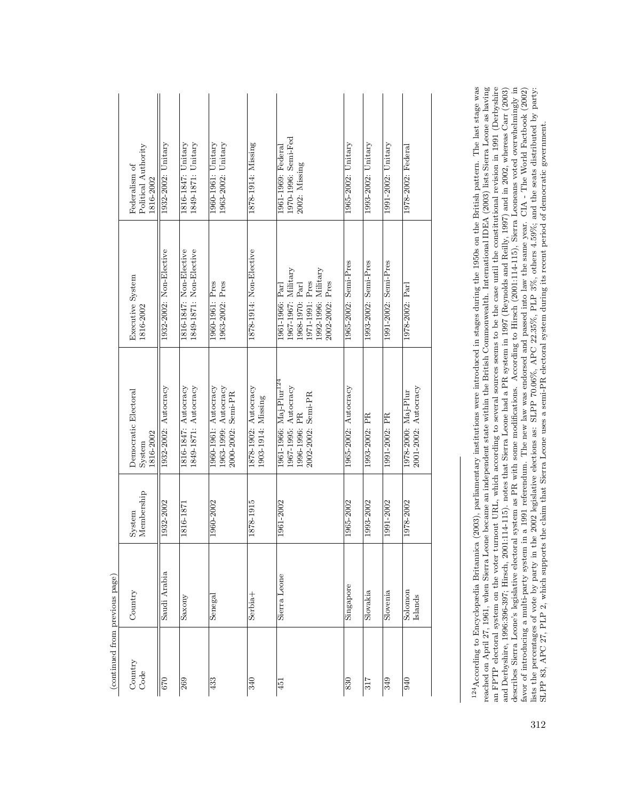|                            | Political Authority<br>Federalism of<br>1816-2002 | 1932-2002: Unitary      | 1816-1847: Unitary<br>$1849 - 1871$ : Unitary      | 1963-2002: Unitary<br>1960-1961: Unitary                           | 1878-1914: Missing                         | 1970-1996: Semi-Fed<br>1961-1969: Federal<br>2002: Missing                                                             | 1965-2002: Unitary   | 1993-2002: Unitary   | 1991-2002: Unitary   | 1978-2002: Federal                          |
|----------------------------|---------------------------------------------------|-------------------------|----------------------------------------------------|--------------------------------------------------------------------|--------------------------------------------|------------------------------------------------------------------------------------------------------------------------|----------------------|----------------------|----------------------|---------------------------------------------|
|                            | Executive System<br>1816-2002                     | 1932-2002: Non-Elective | 1816-1847: Non-Elective<br>1849-1871: Non-Elective | 1963-2002: Pres<br>1960-1961: Pres                                 | 1878-1914: Non-Elective                    | 1967-1967: Military<br>1992-1996: Military<br>1971-1991: Pres<br>2002-2002: Pres<br>1968-1970: Parl<br>1961-1966: Parl | 1965-2002: Semi-Pres | 1993-2002: Semi-Pres | 1991-2002: Semi-Pres | 1978-2002: Parl                             |
|                            | Democratic Electoral<br>1816-2002<br>System       | 1932-2002: Autocracy    | 1816-1847: Autocracy<br>1849-1871: Autocracy       | 1960-1961: Autocracy<br>1963-1999: Autocracy<br>2000-2002: Semi-PR | 1878-1902: Autocracy<br>1903-1914: Missing | 1961-1966: Maj-Plur <sup>124</sup><br>1967-1995: Autocracy<br>2002-2002: Semi-PR<br>.996-1996: PR                      | 1965-2002: Autocracy | 1993-2002: PR        | 1991-2002: PR        | 2001-2002: Autocracy<br>1978-2000: Maj-Plur |
|                            | Membership<br>System                              | 1932-2002               | 1816-1871                                          | 1960-2002                                                          | 1878-1915                                  | 1961-2002                                                                                                              | 1965-2002            | 1993-2002            | 1991-2002            | 1978-2002                                   |
|                            | Country                                           | Saudi Arabia            | Saxony                                             | Senegal                                                            | Serbia <sup>+</sup>                        | Sierra Leone                                                                                                           | Singapore            | Slovakia             | Slovenia             | Solomon<br>Islands                          |
| /Comment morn hiesing hope | Country<br>Code                                   | 070                     | 269                                                | 433                                                                | 340                                        | 451                                                                                                                    | 830                  | 317                  | 349                  | $\sqrt{6}$                                  |

 $\left(\textrm{continued from previous page}\right)$ (continued from previous page)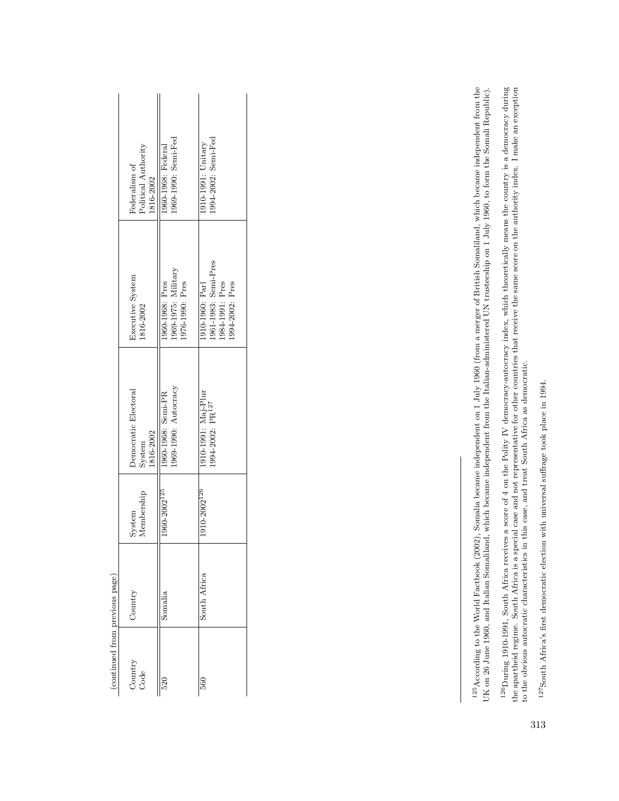| (continued from previous page) |              |                          |                                                     |                                                                               |                                                   |
|--------------------------------|--------------|--------------------------|-----------------------------------------------------|-------------------------------------------------------------------------------|---------------------------------------------------|
| Country<br>Code                | Country      | Membership<br>System     | Democratic Electoral<br>1816-2002<br>System         | Executive System<br>1816-2002                                                 | Political Authority<br>Federalism of<br>1816-2002 |
| 520                            | Somalia      | 1960-2002 <sup>125</sup> | 1969-1990: Autocracy<br>1960-1968: Semi-PR          | 1969-1975: Military<br>1960-1968: Pres<br>1976-1990: Pres                     | 1969-1990: Semi-Fed<br>1960-1968: Federal         |
| 560                            | South Africa | 1910-2002 <sup>126</sup> | 1910–1991: Maj-Plur<br>1994-2002: PR <sup>127</sup> | 1961-1983: Semi-Pres<br>1984-1991: Pres<br>1910-1960: Parl<br>1994-2002: Pres | 1994-2002: Semi-Fed<br>1910-1991: Unitary         |

 $^{126}$ During 1910-1991, South Africa receives a score of 4 on the Polity IV democracy-autocracy index, which theoretically means the country is a democracy during the apartheid regime. South Africa is a special case and 126During 1910-1991, South Africa receives a score of 4 on the Polity IV democracy-autocracy index, which theoretically means the country is a democracy during the apartheid regime. South Africa is a special case and not representative for other countries that receive the same score on the authority index. I make an exception to the obvious autocratic characteristics in this case, and treat South Africa as democratic.

 $^{125}$ According to the World Factbook (2002), Somalia became independent on 1 July 1960 (from a merger of British Somaliland, which became independent from the UK on 26 June 1960, and Italian Somaliland, which became independent from the Italian-administered UN trusteeship on 1 July 1960, to form the Somali Republic).

 $^{125}$ According to the World Factbook (2002), Somalia became independent on 1 July 1960 (from a merger of British Somaliland, which became independent from the UK on 26 June 1960, and Italian Somaliland, which became ind

 $^{127}\text{South Africa's first demonstration with universal suffixe took place in 1994.}$ 127South Africa's first democratic election with universal suffrage took place in 1994.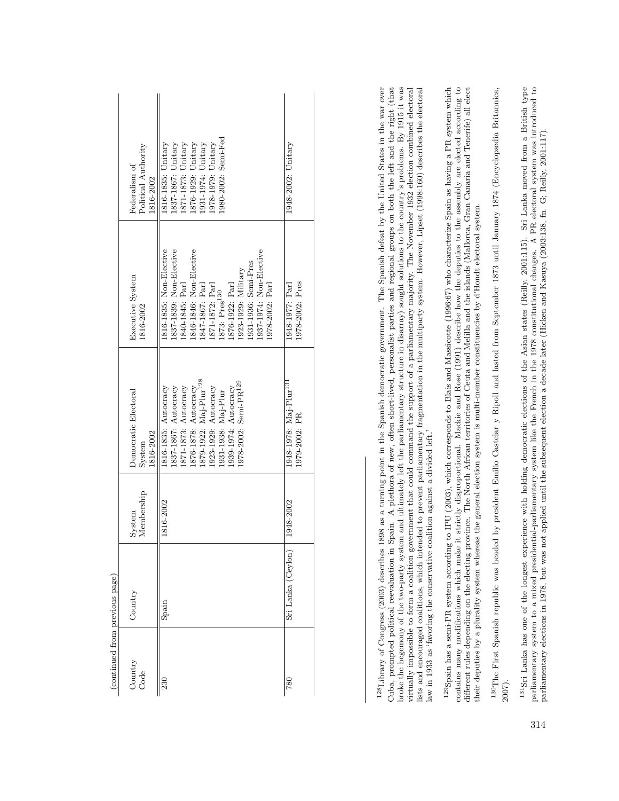|                                | Political Authority<br>Federalism of<br>1816-2002             | 980-2002: Semi-Fed<br>1876-1929: Unitary<br>1837-1867: Unitary<br>1871-1873: Unitary<br>.931-1974: Unitary<br>978-1979: Unitary<br>1816-1835: Unitary                                                                                                                               | $1948 - 2002$ : Unitary                             |
|--------------------------------|---------------------------------------------------------------|-------------------------------------------------------------------------------------------------------------------------------------------------------------------------------------------------------------------------------------------------------------------------------------|-----------------------------------------------------|
|                                | Executive System<br>1816-2002                                 | 1816-1835: Non-Elective<br>1837-1839: Non-Elective<br>1846-1846: Non-Elective<br>1937-1974: Non-Elective<br>.931-1936: Semi-Pres<br>1923-1929: Military<br>1840-1845: Parl<br>1876-1922: Parl<br>1847-1867: Parl<br>1871-1872: Parl<br>.978-2002: Parl<br>1873: Pres <sup>130</sup> | 1978-2002: Pres<br>1948-1977: Parl                  |
|                                | Democratic Electoral<br>1816-2002<br>System                   | 1876-1878: Autocracy<br>1879-1922: Maj-Plur <sup>128</sup><br>1978-2002: Semi-PR <sup>129</sup><br>1837-1867: Autocracy<br>1871-1873: Autocracy<br>1923-1929: Autocracy<br>1939-1974: Autocracy<br>1816-1835: Autocracy<br>1931-1938: Maj-Plur                                      | 1948-1978: Maj-Plur <sup>13.</sup><br>1979-2002: PR |
|                                | Membership<br>System                                          | 1816-2002                                                                                                                                                                                                                                                                           | 1948-2002                                           |
|                                | Country                                                       | Spain                                                                                                                                                                                                                                                                               | Sri Lanka (Ceylon)                                  |
| (continued from previous page) | $\begin{array}{ll} \text{Country} \\ \text{Code} \end{array}$ | 230                                                                                                                                                                                                                                                                                 | $^{780}$                                            |

Cuba, prompted political reevaluation in Spain. A plethora of new, often short-lived, personalist parties and regional groups on both the left and the right (that broke the hegemony of the two-party system and ultimately left the parliamentary structure in disarray) sought solutions to the country's problems. By 1915 it was virtually impossible to form a coalition government that could command the support of a parliamentary majority. The November 1932 election combined electoral <sup>128</sup>Library of Congress (2003) describes 1898 as a turning point in the Spanish democratic government. The Spanish defeat by the United States in the war over  $^{128}$ Library of Congress (2003) describes 1898 as a turning point in the Spanish democratic government. The Spanish defeat by the United States in the war over broke the hegemony of the two-party system and ultimately left the parliamentary structure in disarray) sought solutions to the country's problems. By 1915 it was virtually impossible to form a coalition government that could command the support of a parliamentary majority. The November 1932 election combined electoral lists and encouraged coalitions, which intended to prevent parliamentary fragmentation in the multiparty system. However, Lipset (1998:160) describes the electoral<br>law in 1933 as 'favoring the conservative coalition agains lists and encouraged coalitions, which intended to prevent parliamentary fragmentation in the multiparty system. However, Lipset (1998:160) describes the electoral Cuba, prompted political reevaluation in Spain. A plethora of new, often short-lived, personalist parties and regional groups on both the left and the right (that law in 1933 as 'favoring the conservative coalition against a divided left.'

<sup>129</sup> Spain has a semi-PR system according to IPU (2003), which corresponds to Blais and Massicotte (1996:67) who characterize Spain as having a PR system which contains many modifications which make it strictly disproportional. Mackie and Rose (1991) describe how the deputies to the assembly are elected according to 129Spain has a semi-PR system according to IPU (2003), which corresponds to Blais and Massicotte (1996:67) who characterize Spain as having a PR system which contains many modifications which make it strictly disproportional. Mackie and Rose (1991) describe how the deputies to the assembly are elected according to different rules depending on the electing province. The North African territories of Ceuta and Mellilla and the islands (Mallorca, Gran Canaria and Tenerife) all elect different rules depending on the electing province. The North African territories of Ceuta and Melilla and the islands (Mallorca, Gran Canaria and Tenerife) all elect heir deputies by a plurality system whereas the general election system is multi-member constituencies by d'Hondt electoral system. their deputies by a plurality system whereas the general election system is multi-member constituencies by d'Hondt electoral system.

<sup>130</sup> The First Spanish republic was headed by president Emilio Castelar y Ripoll and lasted from September 1873 until January 1874 (Encyclopædia Britannica, 130The First Spanish republic was headed by president Emilio Castelar y Ripoll and lasted from September 1873 until January 1874 (Encyclopædia Britannica, 2007).

<sup>131</sup>Sri Lanka has one of the longest experience with holding democratic elections of the Asian states (Reilly, 2001:115). Sri Lanka moved from a British type parliamentary system to a mixed presidential-parliamentary system like the French in the 1978 constitutional changes. A PR electoral system was introduced to parliamentary elections in 1978, but was not applied until the 131Sri Lanka has one of the longest experience with holding democratic elections of the Asian states (Reilly, 2001:115). Sri Lanka moved from a British type parliamentary system to a mixed presidential-parliamentary system like the French in the 1978 constitutional changes. A PR electoral system was introduced to parliamentary elections in 1978, but was not applied until the subsequent election a decade later (Hicken and Kasuya (2003:138, fn. G; Reilly, 2001:117).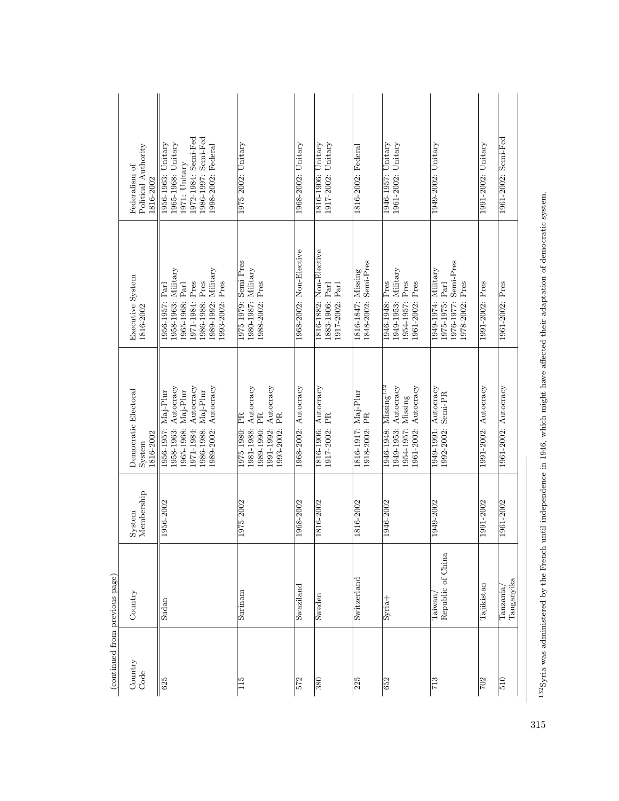| (continued from previous page) |                              |                      |                                                                                                                                              |                                                                                                                                           |                                                                                                                               |
|--------------------------------|------------------------------|----------------------|----------------------------------------------------------------------------------------------------------------------------------------------|-------------------------------------------------------------------------------------------------------------------------------------------|-------------------------------------------------------------------------------------------------------------------------------|
| Country<br>Code                | Country                      | Membership<br>System | Democratic Electoral<br>1816-2002<br>System                                                                                                  | Executive System<br>1816-2002                                                                                                             | Political Authority<br>Federalism of<br>1816-2002                                                                             |
| 625                            | Sudan                        | 1956-2002            | 1989-2002: Autocracy<br>Autocracy<br>1958-1963: Autocracy<br>1986-1988: Maj-Plur<br>1965-1968: Maj-Plur<br>1956-1957: Maj-Plur<br>1971-1984: | 1989-1992: Military<br>1958-1963: Military<br>1986-1988: Pres<br>1971-1984: Pres<br>1993-2002: Pres<br>1965-1968: Parl<br>1956-1957: Parl | 1972-1984: Semi-Fed<br>1986-1997: Semi-Fed<br>1956-1963: Unitary<br>1965-1968: Unitary<br>1998-2002: Federal<br>1971: Unitary |
| 115                            | Surinam                      | 1975-2002            | 1981-1988: Autocracy<br>Autocracy<br>1989-1990: PR<br>1993-2002: PR<br>1975-1980: PR<br>1991-1992:                                           | 1975-1979: Semi-Pres<br>1980-1987: Military<br>1988-2002: Pres                                                                            | 1975-2002: Unitary                                                                                                            |
| 572                            | Swaziland                    | 1968-2002            | 1968-2002: Autocracy                                                                                                                         | 1968-2002: Non-Elective                                                                                                                   | 1968-2002: Unitary                                                                                                            |
| 380                            | Sweden                       | 1816-2002            | 1816-1906: Autocracy<br>1917-2002: PR                                                                                                        | 1816-1882: Non-Elective<br>1883-1906: Parl<br>1917-2002: Parl                                                                             | 1816-1906: Unitary<br>1917-2002: Unitary                                                                                      |
| 225                            | Switzerland                  | 1816-2002            | 1816-1917: Maj-Plur<br>1918-2002: PR                                                                                                         | 1848-2002: Semi-Pres<br>1816-1847: Missing                                                                                                | 1816-2002: Federal                                                                                                            |
| 652                            | Syria <sup>+</sup>           | 1946-2002            | Autocracy<br>1961-2002: Autocracy<br>1946-1948: Missing <sup>132</sup><br>1954-1957: Missing<br>1949-1953:                                   | 1949-1953: Military<br>1946-1948: Pres<br>1954-1957: Pres<br>1961-2002: Pres                                                              | 1961-2002: Unitary<br>1946-1957: Unitary                                                                                      |
| 713                            | Republic of China<br>Taiwan, | 1949-2002            | 1949-1991: Autocracy<br>1992-2002: Semi-PR                                                                                                   | Semi-Pres<br>1949-1974: Military<br>1978-2002: Pres<br>1975-1975: Parl<br>1976-1977:                                                      | 1949-2002: Unitary                                                                                                            |
| 702                            | Tajikistan                   | 1991-2002            | 1991-2002: Autocracy                                                                                                                         | 1991-2002: Pres                                                                                                                           | 1991-2002: Unitary                                                                                                            |
| 510                            | Tanganyika<br>Tanzania       | 1961-2002            | 1961-2002: Autocracy                                                                                                                         | 1961-2002: Pres                                                                                                                           | 1961-2002: Semi-Fed                                                                                                           |
|                                |                              |                      |                                                                                                                                              |                                                                                                                                           |                                                                                                                               |

132Syria was administered by the French until independence in 1946, which might have affected their adaptation of democratic system. <sup>132</sup>Syria was administered by the French until independence in 1946, which might have affected their adaptation of democratic system.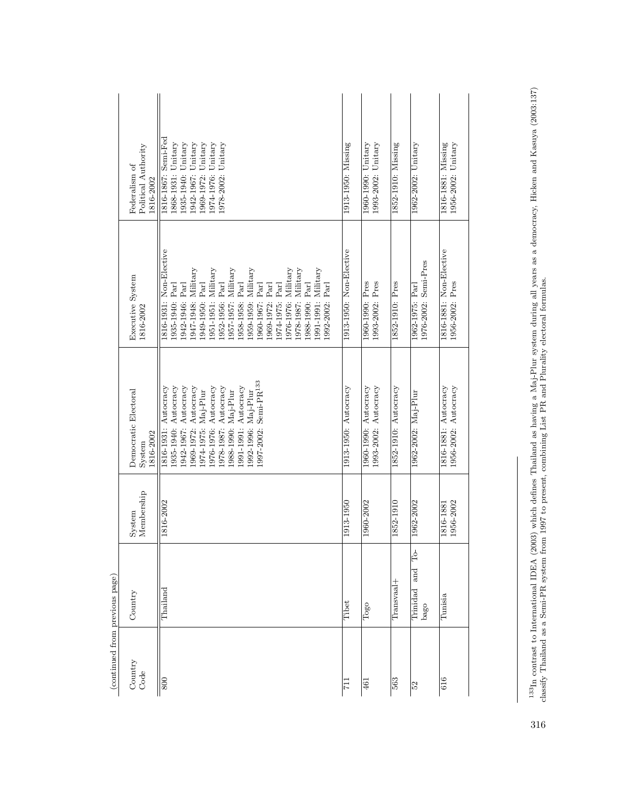|                                | Political Authority<br>Federalism of<br>1816-2002 | 1816-1867: Semi-Fed<br>1868-1931: Unitary<br>1935-1940: Unitary<br>1942-1967: Unitary<br>1969-1972: Unitary<br>1974-1976: Unitary<br>978-2002: Unitary                                                                                                                                                                                                                                         | 1913-1950: Missing      | 1960-1990: Unitary<br>1993-2002: Unitary     | 1852-1910: Missing   | 1962-2002: Unitary                         | 1956-2002: Unitary<br>1816-1881: Missing     |
|--------------------------------|---------------------------------------------------|------------------------------------------------------------------------------------------------------------------------------------------------------------------------------------------------------------------------------------------------------------------------------------------------------------------------------------------------------------------------------------------------|-------------------------|----------------------------------------------|----------------------|--------------------------------------------|----------------------------------------------|
|                                | Executive System<br>1816-2002                     | 1816-1931: Non-Elective<br>1951-1951: Military<br>1957-1957: Military<br>1947-1948: Military<br>1959-1959: Military<br>1976-1976: Military<br>1978-1987: Military<br>1991-1991: Military<br>Parl<br>.949-1950: Parl<br>1952-1956: Parl<br>1958-1958: Parl<br>942-1946: Parl<br>1960-1967: Parl<br>Part<br>Parl<br>.992-2002: Parl<br>1935-1940: Parl<br>1988-1990:<br>1974-1975:<br>1969-1972: | 1913-1950: Non-Elective | 1993-2002: Pres<br>1960-1990: Pres           | 1852-1910: Pres      | 1976-2002: Semi-Pres<br>1962-1975: Parl    | 1816-1881: Non-Elective<br>1956-2002: Pres   |
|                                | Democratic Electoral<br>1816-2002<br>System       | 1997-2002: Semi-PR <sup>133</sup><br>976-1976: Autocracy<br>1942-1967: Autocracy<br>1935-1940: Autocracy<br>1816-1931: Autocracy<br>1969-1972: Autocracy<br>1978-1987: Autocracy<br>1991-1991: Autocracy<br>1974-1975: Maj-Plur<br>1988-1990: Maj-Plur<br>1992-1996: Maj-Plur                                                                                                                  | 1913-1950: Autocracy    | 1960-1990: Autocracy<br>1993-2002: Autocracy | 1852-1910: Autocracy | 1962-2002: Maj-Plur                        | 1956-2002: Autocracy<br>1816-1881: Autocracy |
|                                | Membership<br>System                              | 1816-2002                                                                                                                                                                                                                                                                                                                                                                                      | 1913-1950               | 1960-2002                                    | 1852-1910            | 1962-2002                                  | 1956-2002<br>1816-1881                       |
|                                | Country                                           | Thailand                                                                                                                                                                                                                                                                                                                                                                                       | Tibet                   | Togo                                         | $Transvaal +$        | $\Gamma$<br>and<br><b>Trinidad</b><br>bago | Tunisia                                      |
| (continued from previous page) | Country<br>Code                                   | 800                                                                                                                                                                                                                                                                                                                                                                                            | ΞZ                      | 461                                          | 563                  | 52                                         | 616                                          |

 $^{133}{\rm In}$  contrast to International IDEA (2003) which defines Thailand as having a Maj-Plur system during all years as a democracy, Hicken and Kasuya (2003:137) classify Thailand as a Semi-PR system from 1997 to present 133In contrast to International IDEA (2003) which defines Thailand as having a Maj-Plur system during all years as a democracy, Hicken and Kasuya (2003:137) classify Thailand as a Semi-PR system from 1997 to present, combining List PR and Plurality electoral formulas.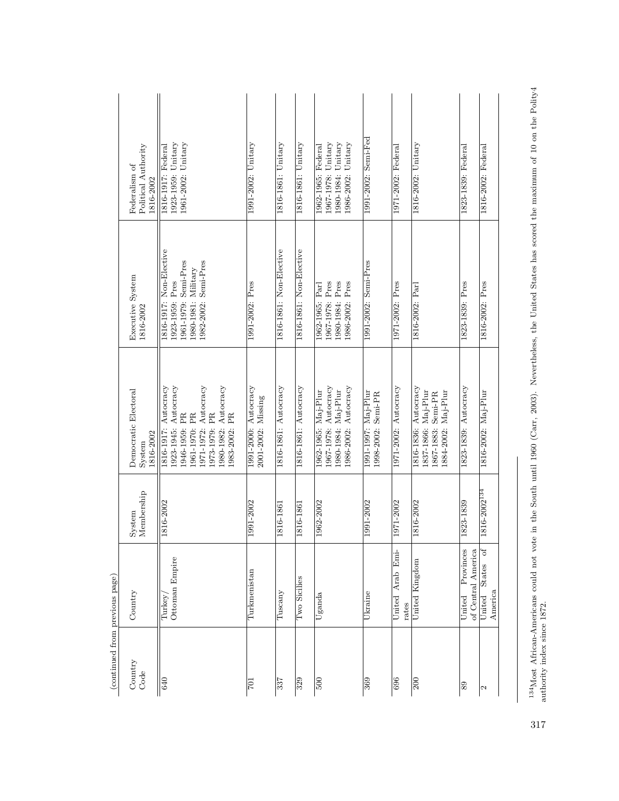$^{134}$ Most African-Americans could not vote in the South until 1960 (Carr, 2003). Nevertheless, the United States has scored the maximum of 10 on the Polity4 authority index since 1872. 134Most African-Americans could not vote in the South until 1960 (Carr, 2003). Nevertheless, the United States has scored the maximum of 10 on the Polity4 authority index since 1872.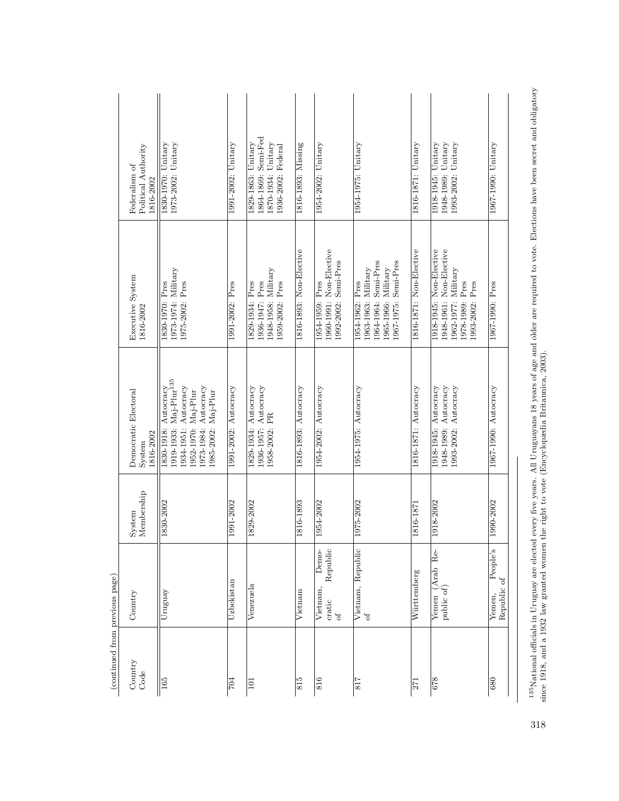| 1864-1869: Semi-Fed<br>$1973-2002$ : Unitary<br>1829-1863: Unitary<br>1870-1934: Unitary<br>1816-1893: Missing<br>1948-1989: Unitary<br>1993-2002: Unitary<br>1954-2002: Unitary<br>1954-1975: Unitary<br>1816-1871: Unitary<br>1918-1945: Unitary<br>1967-1990: Unitary<br>1830-1970: Unitary<br>1991-2002: Unitary<br>Political Authority<br>1936-2002: Federal<br>Federalism of<br>1816-2002<br>1960-1991: Non-Elective<br>1816-1871: Non-Elective<br>1918-1945: Non-Elective<br>1816-1893: Non-Elective<br>1948-1961: Non-Elective<br>1964-1964: Semi-Pres<br>1992-2002: Semi-Pres<br>1967-1975: Semi-Pres<br>1963-1963: Military<br>1965-1966: Military<br>1973-1974: Military<br>1948-1958: Military<br>1962-1977: Military<br>Executive System<br>1975-2002: Pres<br>1936-1947: Pres<br>1959-2002: Pres<br>1954-1962: Pres<br>1991-2002: Pres<br>1829-1934: Pres<br>1954-1959: Pres<br>1978-1989: Pres<br>1993-2002: Pres<br>1830-1970: Pres<br>1967-1990: Pres<br>1816-2002<br>1919-1933: Maj-Plur <sup>135</sup><br>1948-1989: Autocracy<br>1993-2002: Autocracy<br>1973-1984: Autocracy<br>1829-1934: Autocracy<br>1936-1957: Autocracy<br>1954-2002: Autocracy<br>1816-1871: Autocracy<br>1918-1945: Autocracy<br>1967-1990: Autocracy<br>1934-1951: Autocracy<br>1991-2002: Autocracy<br>1816-1893: Autocracy<br>1954-1975: Autocracy<br>Autocracy<br>Democratic Electoral<br>1952-1970: Maj-Plur<br>1985-2002: Maj-Plur<br>1958-2002: PR<br>1830-1918:<br>1816-2002<br>System<br>Membership<br>1829-2002<br>1816-1893<br>1954-2002<br>1990-2002<br>1830-2002<br>1991-2002<br>1975-2002<br>1918-2002<br>1816-1871<br>System<br>Republic<br>People's<br>Vietnam, Republic<br>Demo-<br>Yemen (Arab Re-<br>Württemberg<br>Republic of<br><b>Jzbekistan</b><br>Venezuela<br>public of<br>Vietnam,<br>Vietnam<br>Uruguay<br>Country<br>Yemen,<br>cratic<br>$\sigma$<br>$\sigma$<br>Country<br>Code<br><b>ESI</b><br>815<br>816<br>878<br>817<br>$\overline{704}$<br>$\sqrt{680}$<br><b>Z71</b><br><b>101</b> | (continued from previous page) |  |  |  |
|---------------------------------------------------------------------------------------------------------------------------------------------------------------------------------------------------------------------------------------------------------------------------------------------------------------------------------------------------------------------------------------------------------------------------------------------------------------------------------------------------------------------------------------------------------------------------------------------------------------------------------------------------------------------------------------------------------------------------------------------------------------------------------------------------------------------------------------------------------------------------------------------------------------------------------------------------------------------------------------------------------------------------------------------------------------------------------------------------------------------------------------------------------------------------------------------------------------------------------------------------------------------------------------------------------------------------------------------------------------------------------------------------------------------------------------------------------------------------------------------------------------------------------------------------------------------------------------------------------------------------------------------------------------------------------------------------------------------------------------------------------------------------------------------------------------------------------------------------------------------------------------------------------------------------------------------------------------------------------------------------------------------|--------------------------------|--|--|--|
|                                                                                                                                                                                                                                                                                                                                                                                                                                                                                                                                                                                                                                                                                                                                                                                                                                                                                                                                                                                                                                                                                                                                                                                                                                                                                                                                                                                                                                                                                                                                                                                                                                                                                                                                                                                                                                                                                                                                                                                                                     |                                |  |  |  |
|                                                                                                                                                                                                                                                                                                                                                                                                                                                                                                                                                                                                                                                                                                                                                                                                                                                                                                                                                                                                                                                                                                                                                                                                                                                                                                                                                                                                                                                                                                                                                                                                                                                                                                                                                                                                                                                                                                                                                                                                                     |                                |  |  |  |
|                                                                                                                                                                                                                                                                                                                                                                                                                                                                                                                                                                                                                                                                                                                                                                                                                                                                                                                                                                                                                                                                                                                                                                                                                                                                                                                                                                                                                                                                                                                                                                                                                                                                                                                                                                                                                                                                                                                                                                                                                     |                                |  |  |  |
|                                                                                                                                                                                                                                                                                                                                                                                                                                                                                                                                                                                                                                                                                                                                                                                                                                                                                                                                                                                                                                                                                                                                                                                                                                                                                                                                                                                                                                                                                                                                                                                                                                                                                                                                                                                                                                                                                                                                                                                                                     |                                |  |  |  |
|                                                                                                                                                                                                                                                                                                                                                                                                                                                                                                                                                                                                                                                                                                                                                                                                                                                                                                                                                                                                                                                                                                                                                                                                                                                                                                                                                                                                                                                                                                                                                                                                                                                                                                                                                                                                                                                                                                                                                                                                                     |                                |  |  |  |
|                                                                                                                                                                                                                                                                                                                                                                                                                                                                                                                                                                                                                                                                                                                                                                                                                                                                                                                                                                                                                                                                                                                                                                                                                                                                                                                                                                                                                                                                                                                                                                                                                                                                                                                                                                                                                                                                                                                                                                                                                     |                                |  |  |  |
|                                                                                                                                                                                                                                                                                                                                                                                                                                                                                                                                                                                                                                                                                                                                                                                                                                                                                                                                                                                                                                                                                                                                                                                                                                                                                                                                                                                                                                                                                                                                                                                                                                                                                                                                                                                                                                                                                                                                                                                                                     |                                |  |  |  |
|                                                                                                                                                                                                                                                                                                                                                                                                                                                                                                                                                                                                                                                                                                                                                                                                                                                                                                                                                                                                                                                                                                                                                                                                                                                                                                                                                                                                                                                                                                                                                                                                                                                                                                                                                                                                                                                                                                                                                                                                                     |                                |  |  |  |
|                                                                                                                                                                                                                                                                                                                                                                                                                                                                                                                                                                                                                                                                                                                                                                                                                                                                                                                                                                                                                                                                                                                                                                                                                                                                                                                                                                                                                                                                                                                                                                                                                                                                                                                                                                                                                                                                                                                                                                                                                     |                                |  |  |  |
|                                                                                                                                                                                                                                                                                                                                                                                                                                                                                                                                                                                                                                                                                                                                                                                                                                                                                                                                                                                                                                                                                                                                                                                                                                                                                                                                                                                                                                                                                                                                                                                                                                                                                                                                                                                                                                                                                                                                                                                                                     |                                |  |  |  |

 $^{135}$ National officials in Uruguay are elected every five years. All Uruguayans 18 years of age and older are required to vote. Elections have been secret and obligatory since 1918, and a 1932 law granted women the righ  $^{135}$ National officials in Uruguay are elected every five years. All Uruguayans 18 years of age and older are required to vote. Elections have been secret and obligatory since 1918, and a 1932 law granted women the right to vote (Encyclopædia Britannica, 2003).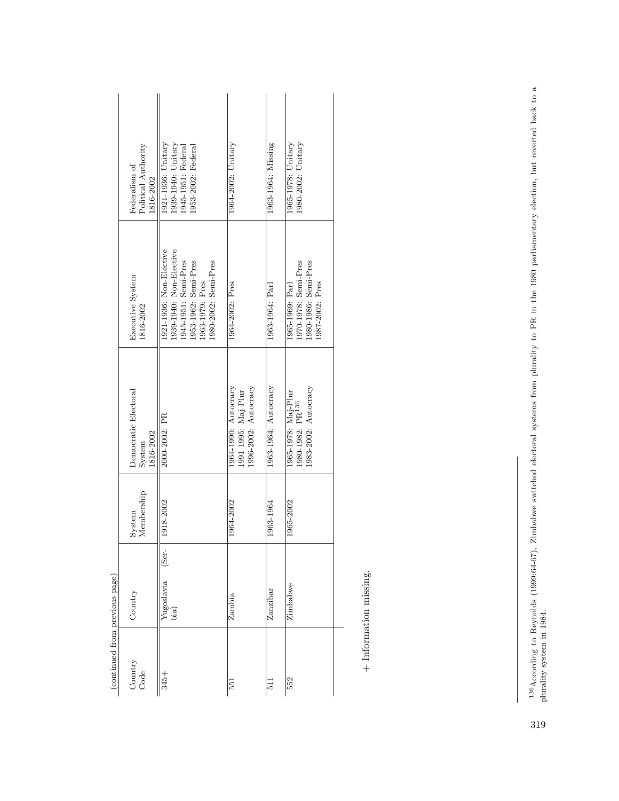| (continued from previous page) |                                                 |                      |                                                                             |                                                                                                                                               |                                                                                     |
|--------------------------------|-------------------------------------------------|----------------------|-----------------------------------------------------------------------------|-----------------------------------------------------------------------------------------------------------------------------------------------|-------------------------------------------------------------------------------------|
| Country<br>Code                | Country                                         | Membership<br>System | Democratic Electoral<br>1816-2002<br>System                                 | Executive System<br>1816-2002                                                                                                                 | Political Authority<br>Federalism of<br>1816-2002                                   |
| $345 +$                        | $\overline{\text{Set}}$ -<br>Yugoslavia<br>bia) | 1918-2002            | 2000-2002: PR                                                               | 1921-1936: Non-Elective<br>1939-1940: Non-Elective<br>1945-1951: Semi-Pres<br>1953-1962: Semi-Pres<br>1980-2002: Semi-Pres<br>1963-1979: Pres | 1921-1936: Unitary<br>1939-1940: Unitary<br>953-2002: Federal<br>1945-1951: Federal |
| 551                            | Zambia                                          | 1964-2002            | 1996-2002: Autocracy<br>1964-1990: Autocracy<br>1991-1995: Maj-Plur         | 1964-2002: Pres                                                                                                                               | 1964-2002: Unitary                                                                  |
| $\frac{1}{2}$                  | Zanzibar                                        | 1963-1964            | 1963-1964: Autocracy                                                        | 1963-1964: Parl                                                                                                                               | 1963-1964: Missing                                                                  |
| 552                            | Zimbabwe                                        | 1965-2002            | 1983-2002: Autocracy<br>1965-1978: Maj-Plur<br>1980-1982: PR <sup>136</sup> | 970-1978: Semi-Pres<br>.980-1986: Semi-Pres<br>.987-2002: Pres<br>1965-1969: Parl                                                             | 1965-1978: Unitary<br>1980-2002: Unitary                                            |
|                                |                                                 |                      |                                                                             |                                                                                                                                               |                                                                                     |

 $+$  Information missing. + Information missing.

 $^{136}$ According to Reynolds (1999:64-67), Zimbabwe switched electoral systems from plurality to PR in the 1980 parliamentary election, but reverted back to a plurality system in 1984. 136According to Reynolds (1999:64-67), Zimbabwe switched electoral systems from plurality to PR in the 1980 parliamentary election, but reverted back to a plurality system in 1984.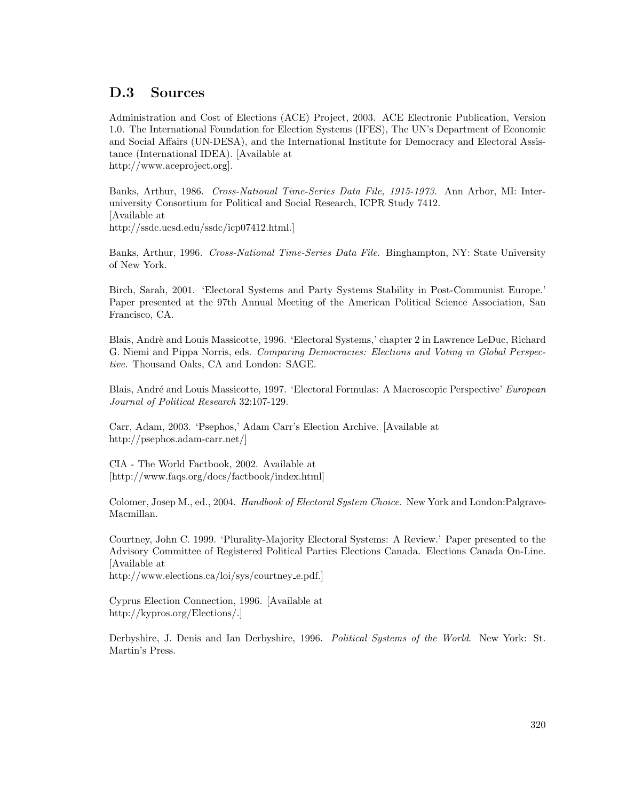## D.3 Sources

Administration and Cost of Elections (ACE) Project, 2003. ACE Electronic Publication, Version 1.0. The International Foundation for Election Systems (IFES), The UN's Department of Economic and Social Affairs (UN-DESA), and the International Institute for Democracy and Electoral Assistance (International IDEA). [Available at http://www.aceproject.org].

Banks, Arthur, 1986. Cross-National Time-Series Data File, 1915-1973. Ann Arbor, MI: Interuniversity Consortium for Political and Social Research, ICPR Study 7412. [Available at http://ssdc.ucsd.edu/ssdc/icp07412.html.]

Banks, Arthur, 1996. Cross-National Time-Series Data File. Binghampton, NY: State University of New York.

Birch, Sarah, 2001. 'Electoral Systems and Party Systems Stability in Post-Communist Europe.' Paper presented at the 97th Annual Meeting of the American Political Science Association, San Francisco, CA.

Blais, Andrè and Louis Massicotte, 1996. 'Electoral Systems,' chapter 2 in Lawrence LeDuc, Richard G. Niemi and Pippa Norris, eds. Comparing Democracies: Elections and Voting in Global Perspective. Thousand Oaks, CA and London: SAGE.

Blais, André and Louis Massicotte, 1997. 'Electoral Formulas: A Macroscopic Perspective' European Journal of Political Research 32:107-129.

Carr, Adam, 2003. 'Psephos,' Adam Carr's Election Archive. [Available at http://psephos.adam-carr.net/]

CIA - The World Factbook, 2002. Available at [http://www.faqs.org/docs/factbook/index.html]

Colomer, Josep M., ed., 2004. Handbook of Electoral System Choice. New York and London:Palgrave-Macmillan.

Courtney, John C. 1999. 'Plurality-Majority Electoral Systems: A Review.' Paper presented to the Advisory Committee of Registered Political Parties Elections Canada. Elections Canada On-Line. [Available at

http://www.elections.ca/loi/sys/courtney e.pdf.]

Cyprus Election Connection, 1996. [Available at http://kypros.org/Elections/.]

Derbyshire, J. Denis and Ian Derbyshire, 1996. Political Systems of the World. New York: St. Martin's Press.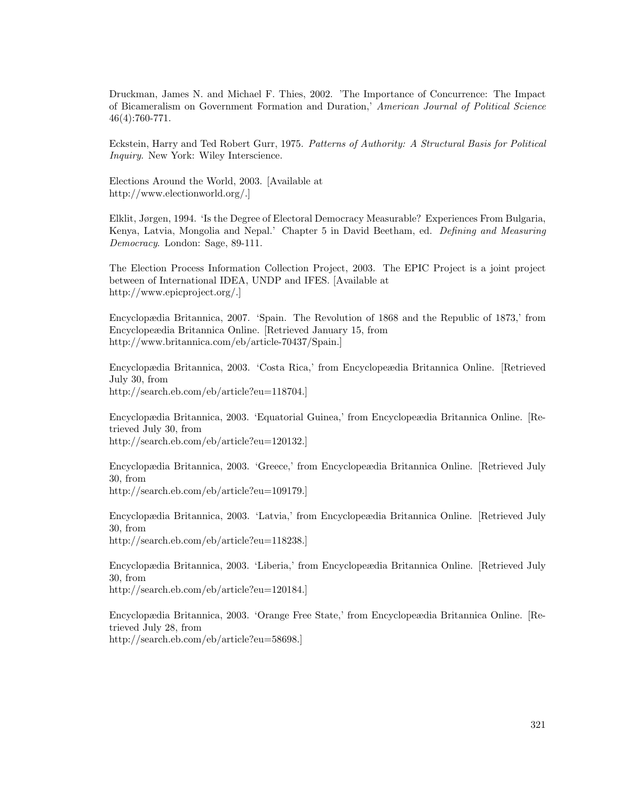Druckman, James N. and Michael F. Thies, 2002. 'The Importance of Concurrence: The Impact of Bicameralism on Government Formation and Duration,' American Journal of Political Science 46(4):760-771.

Eckstein, Harry and Ted Robert Gurr, 1975. Patterns of Authority: A Structural Basis for Political Inquiry. New York: Wiley Interscience.

Elections Around the World, 2003. [Available at http://www.electionworld.org/.]

Elklit, Jørgen, 1994. 'Is the Degree of Electoral Democracy Measurable? Experiences From Bulgaria, Kenya, Latvia, Mongolia and Nepal.' Chapter 5 in David Beetham, ed. Defining and Measuring Democracy. London: Sage, 89-111.

The Election Process Information Collection Project, 2003. The EPIC Project is a joint project between of International IDEA, UNDP and IFES. [Available at http://www.epicproject.org/.]

Encyclopædia Britannica, 2007. 'Spain. The Revolution of 1868 and the Republic of 1873,' from Encyclopeædia Britannica Online. [Retrieved January 15, from http://www.britannica.com/eb/article-70437/Spain.]

Encyclopædia Britannica, 2003. 'Costa Rica,' from Encyclopeædia Britannica Online. [Retrieved July 30, from http://search.eb.com/eb/article?eu=118704.]

Encyclopædia Britannica, 2003. 'Equatorial Guinea,' from Encyclopeædia Britannica Online. [Retrieved July 30, from http://search.eb.com/eb/article?eu=120132.]

Encyclopædia Britannica, 2003. 'Greece,' from Encyclopeædia Britannica Online. [Retrieved July 30, from http://search.eb.com/eb/article?eu=109179.]

Encyclopædia Britannica, 2003. 'Latvia,' from Encyclopeædia Britannica Online. [Retrieved July 30, from

http://search.eb.com/eb/article?eu=118238.]

Encyclopædia Britannica, 2003. 'Liberia,' from Encyclopeædia Britannica Online. [Retrieved July 30, from http://search.eb.com/eb/article?eu=120184.]

Encyclopædia Britannica, 2003. 'Orange Free State,' from Encyclopeædia Britannica Online. [Retrieved July 28, from http://search.eb.com/eb/article?eu=58698.]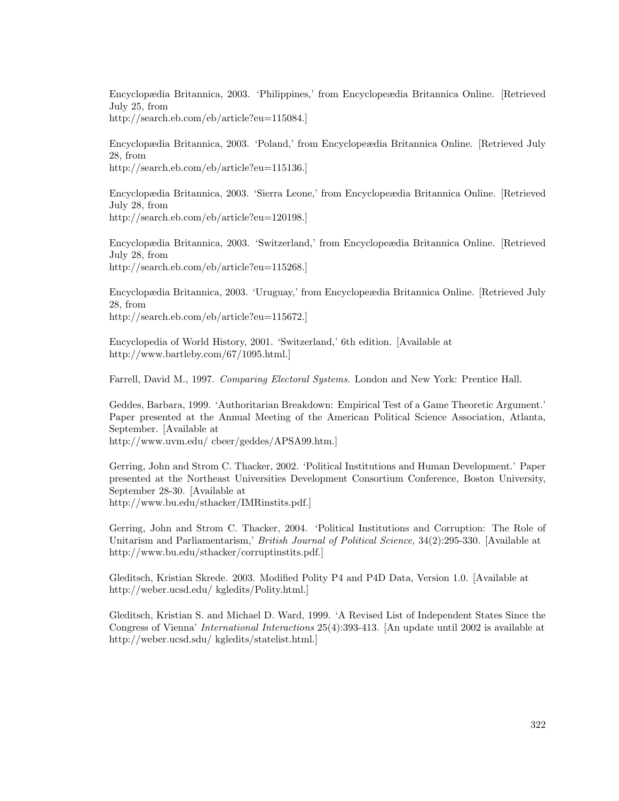Encyclopædia Britannica, 2003. 'Philippines,' from Encyclopeædia Britannica Online. [Retrieved July 25, from http://search.eb.com/eb/article?eu=115084.]

Encyclopædia Britannica, 2003. 'Poland,' from Encyclopeædia Britannica Online. [Retrieved July 28, from http://search.eb.com/eb/article?eu=115136.]

Encyclopædia Britannica, 2003. 'Sierra Leone,' from Encyclopeædia Britannica Online. [Retrieved July 28, from http://search.eb.com/eb/article?eu=120198.]

Encyclopædia Britannica, 2003. 'Switzerland,' from Encyclopeædia Britannica Online. [Retrieved July 28, from http://search.eb.com/eb/article?eu=115268.]

Encyclopædia Britannica, 2003. 'Uruguay,' from Encyclopeædia Britannica Online. [Retrieved July 28, from http://search.eb.com/eb/article?eu=115672.]

Encyclopedia of World History, 2001. 'Switzerland,' 6th edition. [Available at http://www.bartleby.com/67/1095.html.]

Farrell, David M., 1997. Comparing Electoral Systems. London and New York: Prentice Hall.

Geddes, Barbara, 1999. 'Authoritarian Breakdown: Empirical Test of a Game Theoretic Argument.' Paper presented at the Annual Meeting of the American Political Science Association, Atlanta, September. [Available at

http://www.uvm.edu/ cbeer/geddes/APSA99.htm.]

Gerring, John and Strom C. Thacker, 2002. 'Political Institutions and Human Development.' Paper presented at the Northeast Universities Development Consortium Conference, Boston University, September 28-30. [Available at http://www.bu.edu/sthacker/IMRinstits.pdf.]

Gerring, John and Strom C. Thacker, 2004. 'Political Institutions and Corruption: The Role of Unitarism and Parliamentarism,' British Journal of Political Science, 34(2):295-330. [Available at http://www.bu.edu/sthacker/corruptinstits.pdf.]

Gleditsch, Kristian Skrede. 2003. Modified Polity P4 and P4D Data, Version 1.0. [Available at http://weber.ucsd.edu/ kgledits/Polity.html.]

Gleditsch, Kristian S. and Michael D. Ward, 1999. 'A Revised List of Independent States Since the Congress of Vienna' International Interactions 25(4):393-413. [An update until 2002 is available at http://weber.ucsd.sdu/ kgledits/statelist.html.]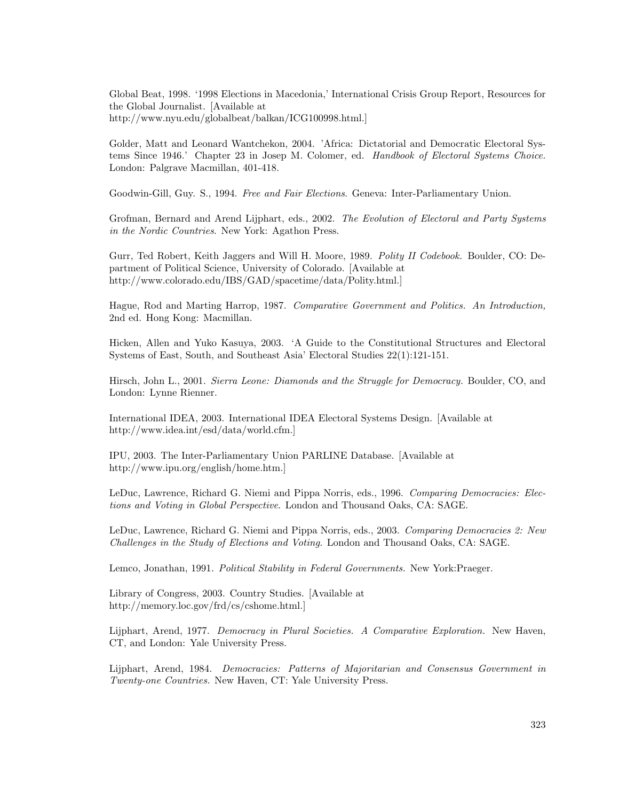Global Beat, 1998. '1998 Elections in Macedonia,' International Crisis Group Report, Resources for the Global Journalist. [Available at http://www.nyu.edu/globalbeat/balkan/ICG100998.html.]

Golder, Matt and Leonard Wantchekon, 2004. 'Africa: Dictatorial and Democratic Electoral Systems Since 1946.' Chapter 23 in Josep M. Colomer, ed. Handbook of Electoral Systems Choice. London: Palgrave Macmillan, 401-418.

Goodwin-Gill, Guy. S., 1994. Free and Fair Elections. Geneva: Inter-Parliamentary Union.

Grofman, Bernard and Arend Lijphart, eds., 2002. The Evolution of Electoral and Party Systems in the Nordic Countries. New York: Agathon Press.

Gurr, Ted Robert, Keith Jaggers and Will H. Moore, 1989. Polity II Codebook. Boulder, CO: Department of Political Science, University of Colorado. [Available at http://www.colorado.edu/IBS/GAD/spacetime/data/Polity.html.]

Hague, Rod and Marting Harrop, 1987. Comparative Government and Politics. An Introduction, 2nd ed. Hong Kong: Macmillan.

Hicken, Allen and Yuko Kasuya, 2003. 'A Guide to the Constitutional Structures and Electoral Systems of East, South, and Southeast Asia' Electoral Studies 22(1):121-151.

Hirsch, John L., 2001. Sierra Leone: Diamonds and the Struggle for Democracy. Boulder, CO, and London: Lynne Rienner.

International IDEA, 2003. International IDEA Electoral Systems Design. [Available at http://www.idea.int/esd/data/world.cfm.]

IPU, 2003. The Inter-Parliamentary Union PARLINE Database. [Available at http://www.ipu.org/english/home.htm.]

LeDuc, Lawrence, Richard G. Niemi and Pippa Norris, eds., 1996. Comparing Democracies: Elections and Voting in Global Perspective. London and Thousand Oaks, CA: SAGE.

LeDuc, Lawrence, Richard G. Niemi and Pippa Norris, eds., 2003. Comparing Democracies 2: New Challenges in the Study of Elections and Voting. London and Thousand Oaks, CA: SAGE.

Lemco, Jonathan, 1991. Political Stability in Federal Governments. New York: Praeger.

Library of Congress, 2003. Country Studies. [Available at http://memory.loc.gov/frd/cs/cshome.html.]

Lijphart, Arend, 1977. Democracy in Plural Societies. A Comparative Exploration. New Haven, CT, and London: Yale University Press.

Lijphart, Arend, 1984. Democracies: Patterns of Majoritarian and Consensus Government in Twenty-one Countries. New Haven, CT: Yale University Press.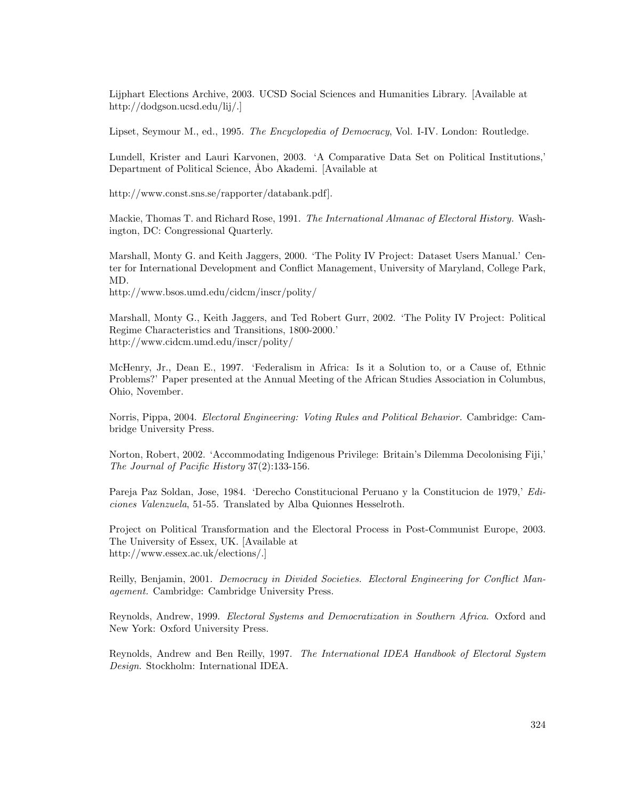Lijphart Elections Archive, 2003. UCSD Social Sciences and Humanities Library. [Available at http://dodgson.ucsd.edu/lij/.]

Lipset, Seymour M., ed., 1995. The Encyclopedia of Democracy, Vol. I-IV. London: Routledge.

Lundell, Krister and Lauri Karvonen, 2003. 'A Comparative Data Set on Political Institutions,' Department of Political Science, Åbo Akademi. [Available at

http://www.const.sns.se/rapporter/databank.pdf].

Mackie, Thomas T. and Richard Rose, 1991. The International Almanac of Electoral History. Washington, DC: Congressional Quarterly.

Marshall, Monty G. and Keith Jaggers, 2000. 'The Polity IV Project: Dataset Users Manual.' Center for International Development and Conflict Management, University of Maryland, College Park, MD.

http://www.bsos.umd.edu/cidcm/inscr/polity/

Marshall, Monty G., Keith Jaggers, and Ted Robert Gurr, 2002. 'The Polity IV Project: Political Regime Characteristics and Transitions, 1800-2000.' http://www.cidcm.umd.edu/inscr/polity/

McHenry, Jr., Dean E., 1997. 'Federalism in Africa: Is it a Solution to, or a Cause of, Ethnic Problems?' Paper presented at the Annual Meeting of the African Studies Association in Columbus, Ohio, November.

Norris, Pippa, 2004. Electoral Engineering: Voting Rules and Political Behavior. Cambridge: Cambridge University Press.

Norton, Robert, 2002. 'Accommodating Indigenous Privilege: Britain's Dilemma Decolonising Fiji,' The Journal of Pacific History 37(2):133-156.

Pareja Paz Soldan, Jose, 1984. 'Derecho Constitucional Peruano y la Constitucion de 1979,' Ediciones Valenzuela, 51-55. Translated by Alba Quionnes Hesselroth.

Project on Political Transformation and the Electoral Process in Post-Communist Europe, 2003. The University of Essex, UK. [Available at http://www.essex.ac.uk/elections/.]

Reilly, Benjamin, 2001. Democracy in Divided Societies. Electoral Engineering for Conflict Management. Cambridge: Cambridge University Press.

Reynolds, Andrew, 1999. Electoral Systems and Democratization in Southern Africa. Oxford and New York: Oxford University Press.

Reynolds, Andrew and Ben Reilly, 1997. The International IDEA Handbook of Electoral System Design. Stockholm: International IDEA.